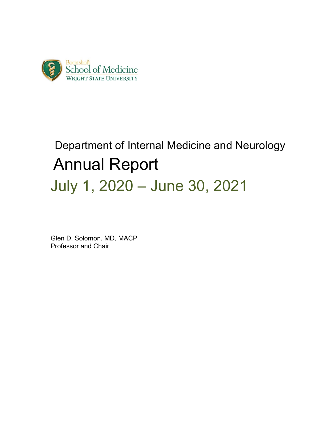

# Department of Internal Medicine and Neurology Annual Report July 1, 2020 – June 30, 2021

 Glen D. Solomon, MD, MACP Professor and Chair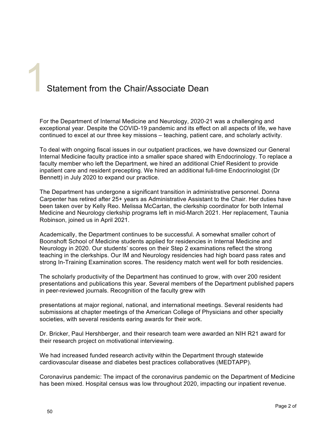# Statement from the Chair/Associate Dean

For the Department of Internal Medicine and Neurology, 2020-21 was a challenging and exceptional year. Despite the COVID-19 pandemic and its effect on all aspects of life, we have continued to excel at our three key missions – teaching, patient care, and scholarly activity.

To deal with ongoing fiscal issues in our outpatient practices, we have downsized our General Internal Medicine faculty practice into a smaller space shared with Endocrinology. To replace a faculty member who left the Department, we hired an additional Chief Resident to provide inpatient care and resident precepting. We hired an additional full-time Endocrinologist (Dr Bennett) in July 2020 to expand our practice.

The Department has undergone a significant transition in administrative personnel. Donna Carpenter has retired after 25+ years as Administrative Assistant to the Chair. Her duties have been taken over by Kelly Reo. Melissa McCartan, the clerkship coordinator for both Internal Medicine and Neurology clerkship programs left in mid-March 2021. Her replacement, Taunia Robinson, joined us in April 2021.

Academically, the Department continues to be successful. A somewhat smaller cohort of Boonshoft School of Medicine students applied for residencies in Internal Medicine and Neurology in 2020. Our students' scores on their Step 2 examinations reflect the strong teaching in the clerkships. Our IM and Neurology residencies had high board pass rates and strong In-Training Examination scores. The residency match went well for both residencies.

The scholarly productivity of the Department has continued to grow, with over 200 resident presentations and publications this year. Several members of the Department published papers in peer-reviewed journals. Recognition of the faculty grew with

presentations at major regional, national, and international meetings. Several residents had submissions at chapter meetings of the American College of Physicians and other specialty societies, with several residents earing awards for their work.

Dr. Bricker, Paul Hershberger, and their research team were awarded an NIH R21 award for their research project on motivational interviewing.

We had increased funded research activity within the Department through statewide cardiovascular disease and diabetes best practices collaboratives (MEDTAPP).

Coronavirus pandemic: The impact of the coronavirus pandemic on the Department of Medicine has been mixed. Hospital census was low throughout 2020, impacting our inpatient revenue.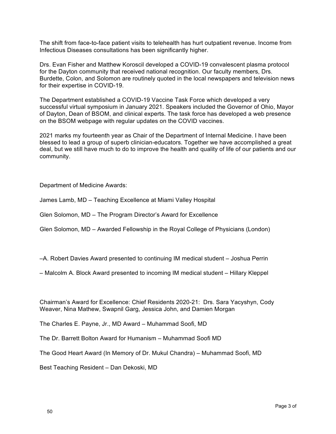The shift from face-to-face patient visits to telehealth has hurt outpatient revenue. Income from Infectious Diseases consultations has been significantly higher.

Drs. Evan Fisher and Matthew Koroscil developed a COVID-19 convalescent plasma protocol for the Dayton community that received national recognition. Our faculty members, Drs. Burdette, Colon, and Solomon are routinely quoted in the local newspapers and television news for their expertise in COVID-19.

The Department established a COVID-19 Vaccine Task Force which developed a very successful virtual symposium in January 2021. Speakers included the Governor of Ohio, Mayor of Dayton, Dean of BSOM, and clinical experts. The task force has developed a web presence on the BSOM webpage with regular updates on the COVID vaccines.

2021 marks my fourteenth year as Chair of the Department of Internal Medicine. I have been blessed to lead a group of superb clinician-educators. Together we have accomplished a great deal, but we still have much to do to improve the health and quality of life of our patients and our community.

# Department of Medicine Awards:

James Lamb, MD – Teaching Excellence at Miami Valley Hospital

Glen Solomon, MD – The Program Director's Award for Excellence

Glen Solomon, MD – Awarded Fellowship in the Royal College of Physicians (London)

–A. Robert Davies Award presented to continuing IM medical student – Joshua Perrin

– Malcolm A. Block Award presented to incoming IM medical student – Hillary Kleppel

Chairman's Award for Excellence: Chief Residents 2020-21: Drs. Sara Yacyshyn, Cody Weaver, Nina Mathew, Swapnil Garg, Jessica John, and Damien Morgan

The Charles E. Payne, Jr., MD Award – Muhammad Soofi, MD

The Dr. Barrett Bolton Award for Humanism – Muhammad Soofi MD

The Good Heart Award (In Memory of Dr. Mukul Chandra) – Muhammad Soofi, MD

Best Teaching Resident – Dan Dekoski, MD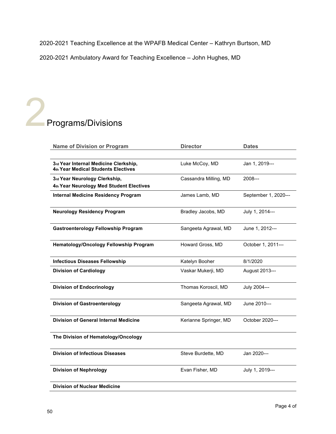2020-2021 Teaching Excellence at the WPAFB Medical Center – Kathryn Burtson, MD

2020-2021 Ambulatory Award for Teaching Excellence – John Hughes, MD

# Programs/Divisions

| <b>Name of Division or Program</b>                                           | <b>Director</b>       | <b>Dates</b>         |
|------------------------------------------------------------------------------|-----------------------|----------------------|
|                                                                              |                       |                      |
| 3rd Year Internal Medicine Clerkship,<br>4th Year Medical Students Electives | Luke McCoy, MD        | Jan 1, 2019---       |
| 3rd Year Neurology Clerkship,                                                | Cassandra Milling, MD | $2008--$             |
| 4th Year Neurology Med Student Electives                                     |                       |                      |
| <b>Internal Medicine Residency Program</b>                                   | James Lamb, MD        | September 1, 2020--- |
| <b>Neurology Residency Program</b>                                           | Bradley Jacobs, MD    | July 1, 2014---      |
| <b>Gastroenterology Fellowship Program</b>                                   | Sangeeta Agrawal, MD  | June 1, 2012---      |
| <b>Hematology/Oncology Fellowship Program</b>                                | Howard Gross, MD      | October 1, 2011---   |
| <b>Infectious Diseases Fellowship</b>                                        | Katelyn Booher        | 8/1/2020             |
| <b>Division of Cardiology</b>                                                | Vaskar Mukerji, MD    | August 2013---       |
| <b>Division of Endocrinology</b>                                             | Thomas Koroscil, MD   | July 2004---         |
| <b>Division of Gastroenterology</b>                                          | Sangeeta Agrawal, MD  | June 2010---         |
| <b>Division of General Internal Medicine</b>                                 | Kerianne Springer, MD | October 2020---      |
| The Division of Hematology/Oncology                                          |                       |                      |
| <b>Division of Infectious Diseases</b>                                       | Steve Burdette, MD    | Jan 2020---          |
| <b>Division of Nephrology</b>                                                | Evan Fisher, MD       | July 1, 2019---      |
| <b>Division of Nuclear Medicine</b>                                          |                       |                      |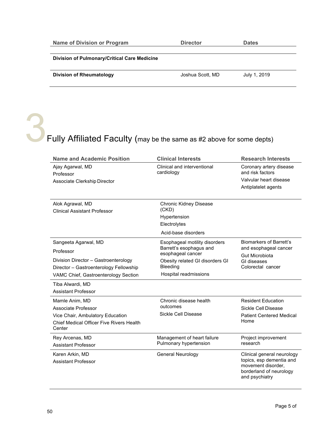| <b>Name of Division or Program</b>           | <b>Director</b>  | <b>Dates</b> |  |
|----------------------------------------------|------------------|--------------|--|
|                                              |                  |              |  |
| Division of Pulmonary/Critical Care Medicine |                  |              |  |
|                                              |                  |              |  |
| Division of Rheumatology                     | Joshua Scott, MD | July 1, 2019 |  |
|                                              |                  |              |  |

Fully Affiliated Faculty (may be the same as #2 above for some depts)

| <b>Name and Academic Position</b>                       | <b>Clinical Interests</b>                    | <b>Research Interests</b>                                                                   |
|---------------------------------------------------------|----------------------------------------------|---------------------------------------------------------------------------------------------|
| Ajay Agarwal, MD<br>Professor                           | Clinical and interventional<br>cardiology    | Coronary artery disease<br>and risk factors                                                 |
| Associate Clerkship Director                            |                                              | Valvular heart disease                                                                      |
|                                                         |                                              | Antiplatelet agents                                                                         |
| Alok Agrawal, MD<br><b>Clinical Assistant Professor</b> | <b>Chronic Kidney Disease</b><br>(CKD)       |                                                                                             |
|                                                         | Hypertension                                 |                                                                                             |
|                                                         | Electrolytes                                 |                                                                                             |
|                                                         | Acid-base disorders                          |                                                                                             |
| Sangeeta Agarwal, MD                                    | Esophageal motility disorders                | <b>Biomarkers of Barrett's</b>                                                              |
| Professor                                               | Barrett's esophagus and<br>esophageal cancer | and esophageal cancer<br><b>Gut Microbiota</b>                                              |
| Division Director - Gastroenterology                    | Obesity related GI disorders GI              | GI diseases                                                                                 |
| Director - Gastroenterology Fellowship                  | Bleeding                                     | Colorectal cancer                                                                           |
| VAMC Chief, Gastroenterology Section                    | Hospital readmissions                        |                                                                                             |
| Tiba Alwardi, MD                                        |                                              |                                                                                             |
| <b>Assistant Professor</b>                              |                                              |                                                                                             |
| Mamle Anim, MD                                          | Chronic disease health                       | <b>Resident Education</b>                                                                   |
| Associate Professor                                     | outcomes                                     | Sickle Cell Disease                                                                         |
| Vice Chair, Ambulatory Education                        | Sickle Cell Disease                          | <b>Patient Centered Medical</b><br>Home                                                     |
| Chief Medical Officer Five Rivers Health<br>Center      |                                              |                                                                                             |
| Rey Arcenas, MD                                         | Management of heart failure                  | Project improvement                                                                         |
| <b>Assistant Professor</b>                              | Pulmonary hypertension                       | research                                                                                    |
| Karen Arkin, MD                                         | <b>General Neurology</b>                     | Clinical general neurology                                                                  |
| <b>Assistant Professor</b>                              |                                              | topics, esp dementia and<br>movement disorder,<br>borderland of neurology<br>and psychiatry |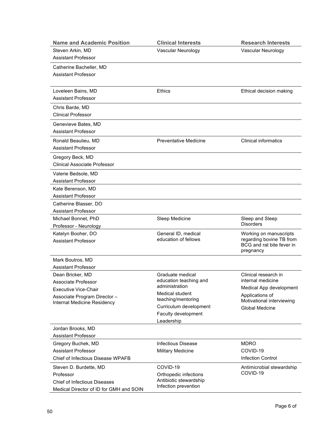| <b>Name and Academic Position</b>       | <b>Clinical Interests</b>             | <b>Research Interests</b>                             |
|-----------------------------------------|---------------------------------------|-------------------------------------------------------|
| Steven Arkin, MD                        | Vascular Neurology                    | Vascular Neurology                                    |
| <b>Assistant Professor</b>              |                                       |                                                       |
| Catherine Bacheller, MD                 |                                       |                                                       |
| <b>Assistant Professor</b>              |                                       |                                                       |
|                                         |                                       |                                                       |
| Loveleen Bains, MD                      | <b>Ethics</b>                         | Ethical decision making                               |
| <b>Assistant Professor</b>              |                                       |                                                       |
| Chris Barde, MD                         |                                       |                                                       |
| <b>Clinical Professor</b>               |                                       |                                                       |
|                                         |                                       |                                                       |
| Genevieve Bates, MD                     |                                       |                                                       |
| <b>Assistant Professor</b>              |                                       |                                                       |
| Ronald Beaulieu, MD                     | <b>Preventative Medicine</b>          | <b>Clinical informatics</b>                           |
| <b>Assistant Professor</b>              |                                       |                                                       |
| Gregory Beck, MD                        |                                       |                                                       |
| Clinical Associate Professor            |                                       |                                                       |
| Valerie Bedsole, MD                     |                                       |                                                       |
| <b>Assistant Professor</b>              |                                       |                                                       |
| Kate Berenson, MD                       |                                       |                                                       |
| <b>Assistant Professor</b>              |                                       |                                                       |
| Catherine Blasser, DO                   |                                       |                                                       |
| <b>Assistant Professor</b>              |                                       |                                                       |
| Michael Bonnet, PhD                     | Sleep Medicine                        | Sleep and Sleep                                       |
| Professor - Neurology                   |                                       | <b>Disorders</b>                                      |
| Katelyn Booher, DO                      | General ID, medical                   | Working on manuscripts                                |
| <b>Assistant Professor</b>              | education of fellows                  | regarding bovine TB from<br>BCG and rat bite fever in |
|                                         |                                       | pregnancy                                             |
| Mark Boutros, MD                        |                                       |                                                       |
| <b>Assistant Professor</b>              |                                       |                                                       |
| Dean Bricker, MD                        | Graduate medical                      | Clinical research in                                  |
| Associate Professor                     | education teaching and                | internal medicine                                     |
| Executive Vice-Chair                    | administration                        | Medical App development                               |
| Associate Program Director-             | Medical student<br>teaching/mentoring | Applications of                                       |
| Internal Medicine Residency             | Curriculum development                | Motivational interviewing<br><b>Global Medcine</b>    |
|                                         | Faculty development                   |                                                       |
|                                         | Leadership                            |                                                       |
| Jordan Brooks, MD                       |                                       |                                                       |
| <b>Assistant Professor</b>              |                                       |                                                       |
| Gregory Buchek, MD                      | <b>Infectious Disease</b>             | <b>MDRO</b>                                           |
| <b>Assistant Professor</b>              | Military Medicine                     | COVID-19                                              |
| Chief of Infectious Disease WPAFB       |                                       | <b>Infection Control</b>                              |
| Steven D. Burdette, MD                  | COVID-19                              | Antimicrobial stewardship                             |
| Professor                               | Orthopedic infections                 | COVID-19                                              |
| <b>Chief of Infectious Diseases</b>     | Antibiotic stewardship                |                                                       |
| Medical Director of ID for GMH and SOIN | Infection prevention                  |                                                       |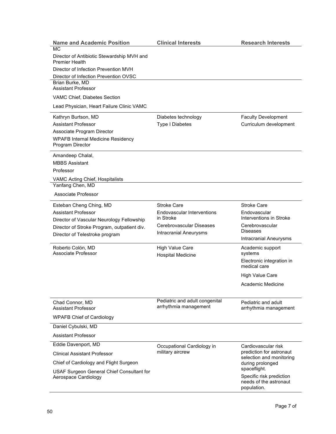| <b>Name and Academic Position</b>                                   | <b>Clinical Interests</b>      | <b>Research Interests</b>                            |
|---------------------------------------------------------------------|--------------------------------|------------------------------------------------------|
| <b>MC</b>                                                           |                                |                                                      |
| Director of Antibiotic Stewardship MVH and<br><b>Premier Health</b> |                                |                                                      |
| Director of Infection Prevention MVH                                |                                |                                                      |
| Director of Infection Prevention OVSC                               |                                |                                                      |
| Brian Burke, MD<br><b>Assistant Professor</b>                       |                                |                                                      |
| VAMC Chief, Diabetes Section                                        |                                |                                                      |
| Lead Physician, Heart Failure Clinic VAMC                           |                                |                                                      |
| Kathryn Burtson, MD                                                 | Diabetes technology            | <b>Faculty Development</b>                           |
| <b>Assistant Professor</b>                                          | Type I Diabetes                | Curriculum development                               |
| Associate Program Director                                          |                                |                                                      |
| <b>WPAFB Internal Medicine Residency</b><br>Program Director        |                                |                                                      |
| Amandeep Chalal,                                                    |                                |                                                      |
| <b>MBBS Assistant</b>                                               |                                |                                                      |
| Professor                                                           |                                |                                                      |
| VAMC Acting Chief, Hospitalists                                     |                                |                                                      |
| Yanfang Chen, MD                                                    |                                |                                                      |
| Associate Professor                                                 |                                |                                                      |
| Esteban Cheng Ching, MD                                             | <b>Stroke Care</b>             | <b>Stroke Care</b>                                   |
| <b>Assistant Professor</b>                                          | Endovascular Interventions     | Endovascular                                         |
| Director of Vascular Neurology Fellowship                           | in Stroke                      | Interventions in Stroke                              |
| Director of Stroke Program, outpatient div.                         | Cerebrovascular Diseases       | Cerebrovascular<br><b>Diseases</b>                   |
| Director of Telestroke program                                      | <b>Intracranial Aneurysms</b>  | <b>Intracranial Aneurysms</b>                        |
| Roberto Colón, MD<br>Associate Professor                            | <b>High Value Care</b>         | Academic support<br>systems                          |
|                                                                     | <b>Hospital Medicine</b>       | Electronic integration in                            |
|                                                                     |                                | medical care                                         |
|                                                                     |                                | <b>High Value Care</b>                               |
|                                                                     |                                | Academic Medicine                                    |
| Chad Connor, MD                                                     | Pediatric and adult congenital | Pediatric and adult                                  |
| <b>Assistant Professor</b>                                          | arrhythmia management          | arrhythmia management                                |
| <b>WPAFB Chief of Cardiology</b>                                    |                                |                                                      |
| Daniel Cybulski, MD                                                 |                                |                                                      |
| <b>Assistant Professor</b>                                          |                                |                                                      |
| Eddie Davenport, MD                                                 | Occupational Cardiology in     | Cardiovascular risk                                  |
| <b>Clinical Assistant Professor</b>                                 | military aircrew               | prediction for astronaut<br>selection and monitoring |
| Chief of Cardiology and Flight Surgeon                              |                                | during prolonged                                     |
| USAF Surgeon General Chief Consultant for                           |                                | spaceflight.<br>Specific risk prediction             |
| Aerospace Cardiology                                                |                                | needs of the astronaut<br>population.                |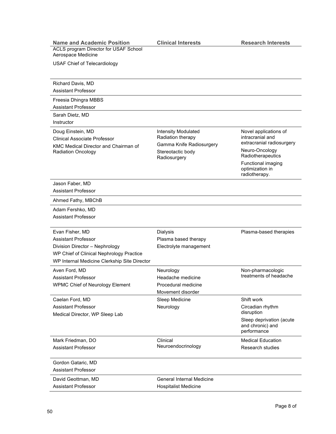| <b>Name and Academic Position</b>                                 | <b>Clinical Interests</b>                     | <b>Research Interests</b>                                   |
|-------------------------------------------------------------------|-----------------------------------------------|-------------------------------------------------------------|
| ACLS program Director for USAF School<br>Aerospace Medicine       |                                               |                                                             |
| <b>USAF Chief of Telecardiology</b>                               |                                               |                                                             |
|                                                                   |                                               |                                                             |
| Richard Davis, MD                                                 |                                               |                                                             |
| <b>Assistant Professor</b>                                        |                                               |                                                             |
| Freesia Dhingra MBBS                                              |                                               |                                                             |
| <b>Assistant Professor</b>                                        |                                               |                                                             |
| Sarah Dietz, MD                                                   |                                               |                                                             |
| Instructor                                                        |                                               |                                                             |
| Doug Einstein, MD                                                 | <b>Intensity Modulated</b>                    | Novel applications of                                       |
| <b>Clinical Associate Professor</b>                               | Radiation therapy                             | intracranial and<br>extracranial radiosurgery               |
| KMC Medical Director and Chairman of<br><b>Radiation Oncology</b> | Gamma Knife Radiosurgery<br>Stereotactic body | Neuro-Oncology                                              |
|                                                                   | Radiosurgery                                  | Radiotherapeutics                                           |
|                                                                   |                                               | Functional imaging<br>optimization in<br>radiotherapy.      |
| Jason Faber, MD                                                   |                                               |                                                             |
| <b>Assistant Professor</b>                                        |                                               |                                                             |
| Ahmed Fathy, MBChB                                                |                                               |                                                             |
| Adam Fershko, MD                                                  |                                               |                                                             |
| <b>Assistant Professor</b>                                        |                                               |                                                             |
| Evan Fisher, MD                                                   | Dialysis                                      | Plasma-based therapies                                      |
| <b>Assistant Professor</b>                                        | Plasma based therapy                          |                                                             |
| Division Director - Nephrology                                    | Electrolyte management                        |                                                             |
| WP Chief of Clinical Nephrology Practice                          |                                               |                                                             |
| WP Internal Medicine Clerkship Site Director                      |                                               |                                                             |
| Aven Ford, MD                                                     | Neurology                                     | Non-pharmacologic<br>treatments of headache                 |
| <b>Assistant Professor</b>                                        | Headache medicine                             |                                                             |
| <b>WPMC Chief of Neurology Element</b>                            | Procedural medicine<br>Movement disorder      |                                                             |
| Caelan Ford, MD                                                   | Sleep Medicine                                | Shift work                                                  |
| <b>Assistant Professor</b>                                        | Neurology                                     | Circadian rhythm                                            |
| Medical Director, WP Sleep Lab                                    |                                               | disruption                                                  |
|                                                                   |                                               | Sleep deprivation (acute<br>and chronic) and<br>performance |
| Mark Friedman, DO                                                 | Clinical                                      | <b>Medical Education</b>                                    |
| <b>Assistant Professor</b>                                        | Neuroendocrinology                            | Research studies                                            |
| Gordon Gataric, MD                                                |                                               |                                                             |
| <b>Assistant Professor</b>                                        |                                               |                                                             |
| David Geottman, MD                                                | <b>General Internal Medicine</b>              |                                                             |
| <b>Assistant Professor</b>                                        | <b>Hospitalist Medicine</b>                   |                                                             |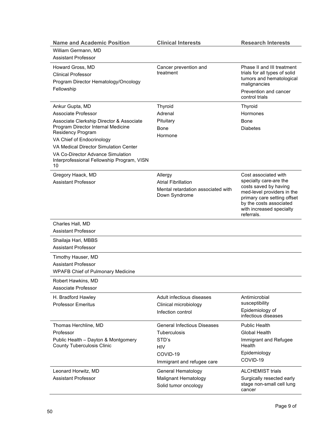| <b>Name and Academic Position</b>                                        | <b>Clinical Interests</b>          | <b>Research Interests</b>                           |
|--------------------------------------------------------------------------|------------------------------------|-----------------------------------------------------|
| William Germann, MD                                                      |                                    |                                                     |
| <b>Assistant Professor</b>                                               |                                    |                                                     |
| Howard Gross, MD                                                         | Cancer prevention and              | Phase II and III treatment                          |
| Clinical Professor                                                       | treatment                          | trials for all types of solid                       |
| Program Director Hematology/Oncology                                     |                                    | tumors and hematological<br>malignancies            |
| Fellowship                                                               |                                    | Prevention and cancer                               |
|                                                                          |                                    | control trials                                      |
| Ankur Gupta, MD                                                          | Thyroid                            | <b>Thyroid</b>                                      |
| Associate Professor                                                      | Adrenal                            | Hormones                                            |
| Associate Clerkship Director & Associate                                 | Pituitary                          | Bone                                                |
| Program Director Internal Medicine<br><b>Residency Program</b>           | Bone                               | <b>Diabetes</b>                                     |
| VA Chief of Endocrinology                                                | Hormone                            |                                                     |
| VA Medical Director Simulation Center                                    |                                    |                                                     |
| VA Co-Director Advance Simulation                                        |                                    |                                                     |
| Interprofessional Fellowship Program, VISN<br>10                         |                                    |                                                     |
| Gregory Haack, MD                                                        | Allergy                            | Cost associated with                                |
| <b>Assistant Professor</b>                                               | <b>Atrial Fibrillation</b>         | specialty care-are the                              |
|                                                                          | Mental retardation associated with | costs saved by having<br>med-level providers in the |
|                                                                          | Down Syndrome                      | primary care setting offset                         |
|                                                                          |                                    | by the costs associated                             |
|                                                                          |                                    | with increased specialty<br>referrals.              |
| Charles Hall, MD                                                         |                                    |                                                     |
| <b>Assistant Professor</b>                                               |                                    |                                                     |
| Shailaja Hari, MBBS                                                      |                                    |                                                     |
| <b>Assistant Professor</b>                                               |                                    |                                                     |
| Timothy Hauser, MD                                                       |                                    |                                                     |
| <b>Assistant Professor</b>                                               |                                    |                                                     |
| <b>WPAFB Chief of Pulmonary Medicine</b>                                 |                                    |                                                     |
| Robert Hawkins, MD                                                       |                                    |                                                     |
| Associate Professor                                                      |                                    |                                                     |
| H. Bradford Hawley                                                       | Adult infectious diseases          | Antimicrobial                                       |
| <b>Professor Emeritus</b>                                                | Clinical microbiology              | susceptibility                                      |
|                                                                          | Infection control                  | Epidemiology of<br>infectious diseases              |
| Thomas Herchline, MD                                                     | <b>General Infectious Diseases</b> | <b>Public Health</b>                                |
| Professor                                                                | Tuberculosis                       | Global Health                                       |
| Public Health - Dayton & Montgomery<br><b>County Tuberculosis Clinic</b> | STD's<br><b>HIV</b>                | Immigrant and Refugee<br>Health                     |
|                                                                          | COVID-19                           | Epidemiology                                        |
|                                                                          | Immigrant and refugee care         | COVID-19                                            |
| Leonard Horwitz, MD                                                      | General Hematology                 | <b>ALCHEMIST trials</b>                             |
| <b>Assistant Professor</b>                                               | <b>Malignant Hematology</b>        | Surgically resected early                           |
|                                                                          | Solid tumor oncology               | stage non-small cell lung<br>cancer                 |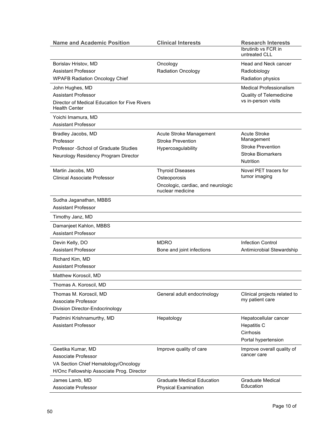| <b>Name and Academic Position</b>                                                                                             | <b>Clinical Interests</b>                                                                         | <b>Research Interests</b><br>Ibrutinib vs FCR in<br>untreated CLL                                             |
|-------------------------------------------------------------------------------------------------------------------------------|---------------------------------------------------------------------------------------------------|---------------------------------------------------------------------------------------------------------------|
| Borislav Hristov, MD<br><b>Assistant Professor</b><br><b>WPAFB Radiation Oncology Chief</b>                                   | Oncology<br>Radiation Oncology                                                                    | Head and Neck cancer<br>Radiobiology<br>Radiation physics                                                     |
| John Hughes, MD<br><b>Assistant Professor</b><br>Director of Medical Education for Five Rivers<br><b>Health Center</b>        |                                                                                                   | <b>Medical Professionalism</b><br>Quality of Telemedicine<br>vs in-person visits                              |
| Yoichi Imamura, MD<br>Assistant Professor                                                                                     |                                                                                                   |                                                                                                               |
| Bradley Jacobs, MD<br>Professor<br>Professor - School of Graduate Studies<br>Neurology Residency Program Director             | Acute Stroke Management<br><b>Stroke Prevention</b><br>Hypercoagulability                         | <b>Acute Stroke</b><br>Management<br><b>Stroke Prevention</b><br><b>Stroke Biomarkers</b><br><b>Nutrition</b> |
| Martin Jacobs, MD<br><b>Clinical Associate Professor</b>                                                                      | <b>Thyroid Diseases</b><br>Osteoporosis<br>Oncologic, cardiac, and neurologic<br>nuclear medicine | Novel PET tracers for<br>tumor imaging                                                                        |
| Sudha Jaganathan, MBBS<br><b>Assistant Professor</b>                                                                          |                                                                                                   |                                                                                                               |
| Timothy Janz, MD                                                                                                              |                                                                                                   |                                                                                                               |
| Damanjeet Kahlon, MBBS<br><b>Assistant Professor</b>                                                                          |                                                                                                   |                                                                                                               |
| Devin Kelly, DO<br><b>Assistant Professor</b>                                                                                 | <b>MDRO</b><br>Bone and joint infections                                                          | <b>Infection Control</b><br>Antimicrobial Stewardship                                                         |
| Richard Kim, MD<br><b>Assistant Professor</b>                                                                                 |                                                                                                   |                                                                                                               |
| Matthew Koroscil, MD                                                                                                          |                                                                                                   |                                                                                                               |
| Thomas A. Koroscil, MD                                                                                                        |                                                                                                   |                                                                                                               |
| Thomas M. Koroscil, MD<br>Associate Professor<br>Division Director-Endocrinology                                              | General adult endocrinology                                                                       | Clinical projects related to<br>my patient care                                                               |
| Padmini Krishnamurthy, MD<br><b>Assistant Professor</b>                                                                       | Hepatology                                                                                        | Hepatocellular cancer<br><b>Hepatitis C</b><br>Cirrhosis<br>Portal hypertension                               |
| Geetika Kumar, MD<br>Associate Professor<br>VA Section Chief Hematology/Oncology<br>H/Onc Fellowship Associate Prog. Director | Improve quality of care                                                                           | Improve overall quality of<br>cancer care                                                                     |
| James Lamb, MD<br>Associate Professor                                                                                         | <b>Graduate Medical Education</b><br><b>Physical Examination</b>                                  | <b>Graduate Medical</b><br>Education                                                                          |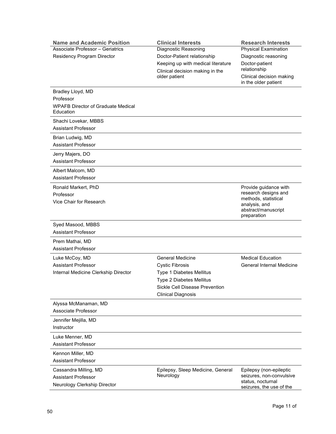| <b>Clinical Interests</b><br><b>Name and Academic Position</b><br><b>Research Interests</b>             |  |
|---------------------------------------------------------------------------------------------------------|--|
| <b>Associate Professor - Geriatrics</b><br><b>Physical Examination</b><br>Diagnostic Reasoning          |  |
| Residency Program Director<br>Doctor-Patient relationship<br>Diagnostic reasoning                       |  |
| Keeping up with medical literature<br>Doctor-patient<br>relationship<br>Clinical decision making in the |  |
| older patient<br>Clinical decision making<br>in the older patient                                       |  |
| Bradley Lloyd, MD                                                                                       |  |
| Professor                                                                                               |  |
| <b>WPAFB Director of Graduate Medical</b><br>Education                                                  |  |
| Shachi Lovekar, MBBS                                                                                    |  |
| <b>Assistant Professor</b>                                                                              |  |
| Brian Ludwig, MD                                                                                        |  |
| <b>Assistant Professor</b>                                                                              |  |
| Jerry Majers, DO                                                                                        |  |
| <b>Assistant Professor</b>                                                                              |  |
| Albert Malcom, MD                                                                                       |  |
| <b>Assistant Professor</b>                                                                              |  |
| Provide guidance with<br>Ronald Markert, PhD                                                            |  |
| research designs and<br>Professor                                                                       |  |
| methods, statistical<br>Vice Chair for Research                                                         |  |
| analysis, and<br>abstract/manuscript                                                                    |  |
| preparation                                                                                             |  |
| Syed Masood, MBBS                                                                                       |  |
| <b>Assistant Professor</b>                                                                              |  |
| Prem Mathai, MD                                                                                         |  |
| <b>Assistant Professor</b>                                                                              |  |
| <b>General Medicine</b><br><b>Medical Education</b><br>Luke McCoy, MD                                   |  |
| <b>Assistant Professor</b><br><b>General Internal Medicine</b><br><b>Cystic Fibrosis</b>                |  |
| Internal Medicine Clerkship Director<br><b>Type 1 Diabetes Mellitus</b>                                 |  |
| Type 2 Diabetes Mellitus                                                                                |  |
| Sickle Cell Disease Prevention                                                                          |  |
| <b>Clinical Diagnosis</b>                                                                               |  |
| Alyssa McManaman, MD                                                                                    |  |
| Associate Professor                                                                                     |  |
| Jennifer Mejilla, MD                                                                                    |  |
| Instructor                                                                                              |  |
| Luke Menner, MD                                                                                         |  |
| <b>Assistant Professor</b>                                                                              |  |
| Kennon Miller, MD                                                                                       |  |
| <b>Assistant Professor</b>                                                                              |  |
| Cassandra Milling, MD<br>Epilepsy, Sleep Medicine, General<br>Epilepsy (non-epileptic                   |  |
| Neurology<br>seizures, non-convulsive<br><b>Assistant Professor</b>                                     |  |
| status, nocturnal<br>Neurology Clerkship Director<br>seizures, the use of the                           |  |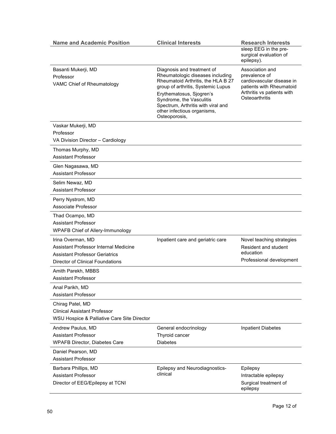| <b>Name and Academic Position</b>                                              | <b>Clinical Interests</b>                                                                                                                  | <b>Research Interests</b>                                     |
|--------------------------------------------------------------------------------|--------------------------------------------------------------------------------------------------------------------------------------------|---------------------------------------------------------------|
|                                                                                |                                                                                                                                            | sleep EEG in the pre-<br>surgical evaluation of<br>epilepsy). |
| Basanti Mukerji, MD                                                            | Diagnosis and treatment of                                                                                                                 | Association and                                               |
| Professor                                                                      | Rheumatologic diseases including<br>Rheumatoid Arthritis, the HLA B 27                                                                     | prevalence of<br>cardiovascular disease in                    |
| VAMC Chief of Rheumatology                                                     | group of arthritis, Systemic Lupus                                                                                                         | patients with Rheumatoid                                      |
|                                                                                | Erythematosus, Sjogren's<br>Syndrome, the Vasculitis<br>Spectrum, Arthritis with viral and<br>other infectious organisms,<br>Osteoporosis, | Arthritis vs patients with<br>Osteoarthritis                  |
| Vaskar Mukerji, MD                                                             |                                                                                                                                            |                                                               |
| Professor                                                                      |                                                                                                                                            |                                                               |
| VA Division Director - Cardiology                                              |                                                                                                                                            |                                                               |
| Thomas Murphy, MD<br><b>Assistant Professor</b>                                |                                                                                                                                            |                                                               |
| Glen Nagasawa, MD                                                              |                                                                                                                                            |                                                               |
| <b>Assistant Professor</b>                                                     |                                                                                                                                            |                                                               |
| Selim Newaz, MD                                                                |                                                                                                                                            |                                                               |
| <b>Assistant Professor</b>                                                     |                                                                                                                                            |                                                               |
| Perry Nystrom, MD                                                              |                                                                                                                                            |                                                               |
| Associate Professor                                                            |                                                                                                                                            |                                                               |
| Thad Ocampo, MD                                                                |                                                                                                                                            |                                                               |
| <b>Assistant Professor</b>                                                     |                                                                                                                                            |                                                               |
| <b>WPAFB Chief of Allery-Immunology</b>                                        |                                                                                                                                            |                                                               |
| Irina Overman, MD                                                              | Inpatient care and geriatric care                                                                                                          | Novel teaching strategies                                     |
| Assistant Professor Internal Medicine<br><b>Assistant Professor Geriatrics</b> |                                                                                                                                            | Resident and student<br>education                             |
| Director of Clinical Foundations                                               |                                                                                                                                            | Professional development                                      |
| Amith Parekh, MBBS                                                             |                                                                                                                                            |                                                               |
| <b>Assistant Professor</b>                                                     |                                                                                                                                            |                                                               |
| Anal Parikh, MD                                                                |                                                                                                                                            |                                                               |
| <b>Assistant Professor</b>                                                     |                                                                                                                                            |                                                               |
| Chirag Patel, MD                                                               |                                                                                                                                            |                                                               |
| <b>Clinical Assistant Professor</b>                                            |                                                                                                                                            |                                                               |
| WSU Hospice & Palliative Care Site Director                                    |                                                                                                                                            |                                                               |
| Andrew Paulus, MD                                                              | General endocrinology                                                                                                                      | <b>Inpatient Diabetes</b>                                     |
| <b>Assistant Professor</b>                                                     | Thyroid cancer                                                                                                                             |                                                               |
| <b>WPAFB Director, Diabetes Care</b>                                           | <b>Diabetes</b>                                                                                                                            |                                                               |
| Daniel Pearson, MD                                                             |                                                                                                                                            |                                                               |
| <b>Assistant Professor</b>                                                     |                                                                                                                                            |                                                               |
| Barbara Phillips, MD                                                           | Epilepsy and Neurodiagnostics-<br>clinical                                                                                                 | Epilepsy                                                      |
| <b>Assistant Professor</b><br>Director of EEG/Epilepsy at TCNI                 |                                                                                                                                            | Intractable epilepsy                                          |
|                                                                                |                                                                                                                                            | Surgical treatment of<br>epilepsy                             |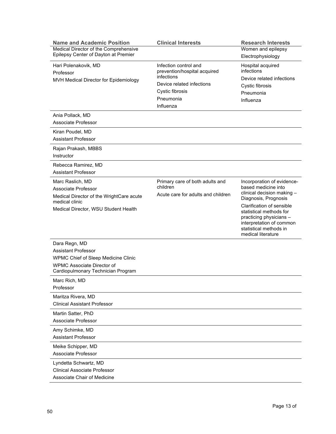| <b>Name and Academic Position</b>                                          | <b>Clinical Interests</b>                                                                        | <b>Research Interests</b>                                                                                                                                   |
|----------------------------------------------------------------------------|--------------------------------------------------------------------------------------------------|-------------------------------------------------------------------------------------------------------------------------------------------------------------|
| Medical Director of the Comprehensive                                      |                                                                                                  | Women and epilepsy                                                                                                                                          |
| Epilepsy Center of Dayton at Premier                                       |                                                                                                  | Electrophysiology                                                                                                                                           |
| Hari Polenakovik, MD<br>Professor<br>MVH Medical Director for Epidemiology | Infection control and<br>prevention/hospital acquired<br>infections<br>Device related infections | Hospital acquired<br>infections<br>Device related infections<br>Cystic fibrosis                                                                             |
|                                                                            | Cystic fibrosis                                                                                  | Pneumonia                                                                                                                                                   |
|                                                                            | Pneumonia                                                                                        | Influenza                                                                                                                                                   |
|                                                                            | Influenza                                                                                        |                                                                                                                                                             |
| Ania Pollack, MD                                                           |                                                                                                  |                                                                                                                                                             |
| Associate Professor                                                        |                                                                                                  |                                                                                                                                                             |
| Kiran Poudel, MD                                                           |                                                                                                  |                                                                                                                                                             |
| <b>Assistant Professor</b>                                                 |                                                                                                  |                                                                                                                                                             |
| Rajan Prakash, MBBS<br>Instructor                                          |                                                                                                  |                                                                                                                                                             |
| Rebecca Ramirez, MD                                                        |                                                                                                  |                                                                                                                                                             |
| <b>Assistant Professor</b>                                                 |                                                                                                  |                                                                                                                                                             |
| Marc Raslich, MD                                                           | Primary care of both adults and                                                                  | Incorporation of evidence-                                                                                                                                  |
| Associate Professor                                                        | children                                                                                         | based medicine into                                                                                                                                         |
| Medical Director of the WrightCare acute<br>medical clinic                 | Acute care for adults and children                                                               | clinical decision making -<br>Diagnosis, Prognosis                                                                                                          |
| Medical Director, WSU Student Health                                       |                                                                                                  | Clarification of sensible<br>statistical methods for<br>practicing physicians -<br>interpretation of common<br>statistical methods in<br>medical literature |
| Dara Regn, MD                                                              |                                                                                                  |                                                                                                                                                             |
| <b>Assistant Professor</b>                                                 |                                                                                                  |                                                                                                                                                             |
| <b>WPMC Chief of Sleep Medicine Clinic</b>                                 |                                                                                                  |                                                                                                                                                             |
| WPMC Associate Director of                                                 |                                                                                                  |                                                                                                                                                             |
| Cardiopulmonary Technician Program                                         |                                                                                                  |                                                                                                                                                             |
| Marc Rich, MD<br>Professor                                                 |                                                                                                  |                                                                                                                                                             |
| Maritza Rivera, MD                                                         |                                                                                                  |                                                                                                                                                             |
| <b>Clinical Assistant Professor</b>                                        |                                                                                                  |                                                                                                                                                             |
| Martin Satter, PhD                                                         |                                                                                                  |                                                                                                                                                             |
| Associate Professor                                                        |                                                                                                  |                                                                                                                                                             |
| Amy Schimke, MD                                                            |                                                                                                  |                                                                                                                                                             |
| <b>Assistant Professor</b>                                                 |                                                                                                  |                                                                                                                                                             |
| Meike Schipper, MD<br>Associate Professor                                  |                                                                                                  |                                                                                                                                                             |
| Lyndetta Schwartz, MD                                                      |                                                                                                  |                                                                                                                                                             |
| <b>Clinical Associate Professor</b>                                        |                                                                                                  |                                                                                                                                                             |
| Associate Chair of Medicine                                                |                                                                                                  |                                                                                                                                                             |
|                                                                            |                                                                                                  |                                                                                                                                                             |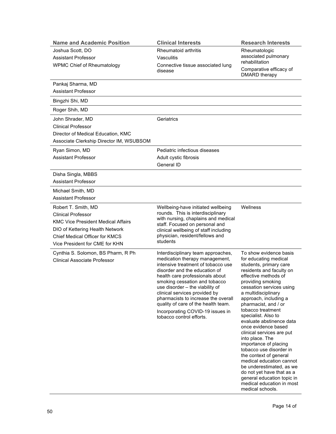| <b>Name and Academic Position</b>                                                                                                                                                                           | <b>Clinical Interests</b>                                                                                                                                                                                                                                                                                                                                                                                                         | <b>Research Interests</b>                                                                                                                                                                                                                                                                                                                                                                                                                                                                                                                                                                                                                               |
|-------------------------------------------------------------------------------------------------------------------------------------------------------------------------------------------------------------|-----------------------------------------------------------------------------------------------------------------------------------------------------------------------------------------------------------------------------------------------------------------------------------------------------------------------------------------------------------------------------------------------------------------------------------|---------------------------------------------------------------------------------------------------------------------------------------------------------------------------------------------------------------------------------------------------------------------------------------------------------------------------------------------------------------------------------------------------------------------------------------------------------------------------------------------------------------------------------------------------------------------------------------------------------------------------------------------------------|
| Joshua Scott, DO<br><b>Assistant Professor</b>                                                                                                                                                              | Rheumatoid arthritis<br>Vasculitis                                                                                                                                                                                                                                                                                                                                                                                                | Rheumatologic<br>associated pulmonary<br>rehabilitation                                                                                                                                                                                                                                                                                                                                                                                                                                                                                                                                                                                                 |
| <b>WPMC Chief of Rheumatology</b>                                                                                                                                                                           | Connective tissue associated lung<br>disease                                                                                                                                                                                                                                                                                                                                                                                      | Comparative efficacy of<br>DMARD therapy                                                                                                                                                                                                                                                                                                                                                                                                                                                                                                                                                                                                                |
| Pankaj Sharma, MD<br><b>Assistant Professor</b>                                                                                                                                                             |                                                                                                                                                                                                                                                                                                                                                                                                                                   |                                                                                                                                                                                                                                                                                                                                                                                                                                                                                                                                                                                                                                                         |
| Bingzhi Shi, MD                                                                                                                                                                                             |                                                                                                                                                                                                                                                                                                                                                                                                                                   |                                                                                                                                                                                                                                                                                                                                                                                                                                                                                                                                                                                                                                                         |
| Roger Shih, MD                                                                                                                                                                                              |                                                                                                                                                                                                                                                                                                                                                                                                                                   |                                                                                                                                                                                                                                                                                                                                                                                                                                                                                                                                                                                                                                                         |
| John Shrader, MD<br><b>Clinical Professor</b><br>Director of Medical Education, KMC<br>Associate Clerkship Director IM, WSUBSOM                                                                             | Geriatrics                                                                                                                                                                                                                                                                                                                                                                                                                        |                                                                                                                                                                                                                                                                                                                                                                                                                                                                                                                                                                                                                                                         |
| Ryan Simon, MD                                                                                                                                                                                              | Pediatric infectious diseases                                                                                                                                                                                                                                                                                                                                                                                                     |                                                                                                                                                                                                                                                                                                                                                                                                                                                                                                                                                                                                                                                         |
| <b>Assistant Professor</b>                                                                                                                                                                                  | Adult cystic fibrosis                                                                                                                                                                                                                                                                                                                                                                                                             |                                                                                                                                                                                                                                                                                                                                                                                                                                                                                                                                                                                                                                                         |
|                                                                                                                                                                                                             | General ID                                                                                                                                                                                                                                                                                                                                                                                                                        |                                                                                                                                                                                                                                                                                                                                                                                                                                                                                                                                                                                                                                                         |
| Disha Singla, MBBS<br><b>Assistant Professor</b>                                                                                                                                                            |                                                                                                                                                                                                                                                                                                                                                                                                                                   |                                                                                                                                                                                                                                                                                                                                                                                                                                                                                                                                                                                                                                                         |
| Michael Smith, MD<br><b>Assistant Professor</b>                                                                                                                                                             |                                                                                                                                                                                                                                                                                                                                                                                                                                   |                                                                                                                                                                                                                                                                                                                                                                                                                                                                                                                                                                                                                                                         |
| Robert T. Smith, MD<br><b>Clinical Professor</b><br><b>KMC Vice President Medical Affairs</b><br>DIO of Kettering Health Network<br><b>Chief Medical Officer for KMCS</b><br>Vice President for CME for KHN | Wellbeing-have initiated wellbeing<br>rounds. This is interdisciplinary<br>with nursing, chaplains and medical<br>staff. Focused on personal and<br>clinical wellbeing of staff including<br>physician, resident/fellows and<br>students                                                                                                                                                                                          | Wellness                                                                                                                                                                                                                                                                                                                                                                                                                                                                                                                                                                                                                                                |
| Cynthia S. Solomon, BS Pharm, R Ph<br>Clinical Associate Professor                                                                                                                                          | Interdisciplinary team approaches,<br>medication therapy management,<br>intensive treatment of tobacco use<br>disorder and the education of<br>health care professionals about<br>smoking cessation and tobacco<br>use disorder - the viability of<br>clinical services provided by<br>pharmacists to increase the overall<br>quality of care of the health team.<br>Incorporating COVID-19 issues in<br>tobacco control efforts. | To show evidence basis<br>for educating medical<br>students, primary care<br>residents and faculty on<br>effective methods of<br>providing smoking<br>cessation services using<br>a multidisciplinary<br>approach, including a<br>pharmacist, and / or<br>tobacco treatment<br>specialist. Also to<br>evaluate abstinence data<br>once evidence based<br>clinical services are put<br>into place. The<br>importance of placing<br>tobacco use disorder in<br>the context of general<br>medical education cannot<br>be underestimated, as we<br>do not yet have that as a<br>general education topic in<br>medical education in most<br>medical schools. |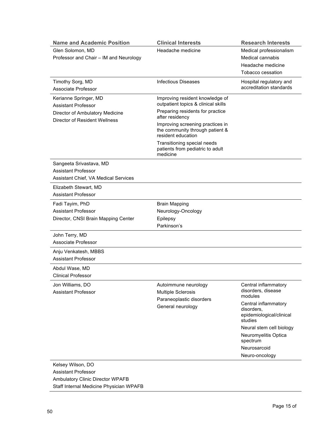| <b>Name and Academic Position</b>                                                                                       | <b>Clinical Interests</b>                                                                 | <b>Research Interests</b>                             |
|-------------------------------------------------------------------------------------------------------------------------|-------------------------------------------------------------------------------------------|-------------------------------------------------------|
| Glen Solomon, MD                                                                                                        | Headache medicine                                                                         | Medical professionalism                               |
| Professor and Chair - IM and Neurology                                                                                  |                                                                                           | Medical cannabis                                      |
|                                                                                                                         |                                                                                           | Headache medicine                                     |
|                                                                                                                         |                                                                                           | Tobacco cessation                                     |
| Timothy Sorg, MD<br>Associate Professor                                                                                 | <b>Infectious Diseases</b>                                                                | Hospital regulatory and<br>accreditation standards    |
| Kerianne Springer, MD<br><b>Assistant Professor</b><br>Director of Ambulatory Medicine<br>Director of Resident Wellness | Improving resident knowledge of<br>outpatient topics & clinical skills                    |                                                       |
|                                                                                                                         | Preparing residents for practice<br>after residency                                       |                                                       |
|                                                                                                                         | Improving screening practices in<br>the community through patient &<br>resident education |                                                       |
|                                                                                                                         | Transitioning special needs<br>patients from pediatric to adult<br>medicine               |                                                       |
| Sangeeta Srivastava, MD                                                                                                 |                                                                                           |                                                       |
| <b>Assistant Professor</b>                                                                                              |                                                                                           |                                                       |
| <b>Assistant Chief, VA Medical Services</b>                                                                             |                                                                                           |                                                       |
| Elizabeth Stewart, MD                                                                                                   |                                                                                           |                                                       |
| <b>Assistant Professor</b>                                                                                              |                                                                                           |                                                       |
| Fadi Tayim, PhD                                                                                                         | <b>Brain Mapping</b>                                                                      |                                                       |
| <b>Assistant Professor</b>                                                                                              | Neurology-Oncology                                                                        |                                                       |
| Director, CNSI Brain Mapping Center                                                                                     | Epilepsy                                                                                  |                                                       |
|                                                                                                                         | Parkinson's                                                                               |                                                       |
| John Terry, MD                                                                                                          |                                                                                           |                                                       |
| Associate Professor                                                                                                     |                                                                                           |                                                       |
| Anju Venkatesh, MBBS                                                                                                    |                                                                                           |                                                       |
| <b>Assistant Professor</b>                                                                                              |                                                                                           |                                                       |
|                                                                                                                         |                                                                                           |                                                       |
| Abdul Wase, MD<br><b>Clinical Professor</b>                                                                             |                                                                                           |                                                       |
|                                                                                                                         |                                                                                           |                                                       |
| Jon Williams, DO<br><b>Assistant Professor</b>                                                                          | Autoimmune neurology<br><b>Multiple Sclerosis</b>                                         | Central inflammatory<br>disorders, disease<br>modules |
|                                                                                                                         | Paraneoplastic disorders                                                                  | Central inflammatory                                  |
|                                                                                                                         | General neurology                                                                         | disorders,<br>epidemiological/clinical                |
|                                                                                                                         |                                                                                           | studies                                               |
|                                                                                                                         |                                                                                           | Neural stem cell biology<br>Neuromyelitis Optica      |
|                                                                                                                         |                                                                                           | spectrum                                              |
|                                                                                                                         |                                                                                           | Neurosarcoid                                          |
|                                                                                                                         |                                                                                           | Neuro-oncology                                        |
| Kelsey Wilson, DO                                                                                                       |                                                                                           |                                                       |
| <b>Assistant Professor</b>                                                                                              |                                                                                           |                                                       |

Ambulatory Clinic Director WPAFB Staff Internal Medicine Physician WPAFB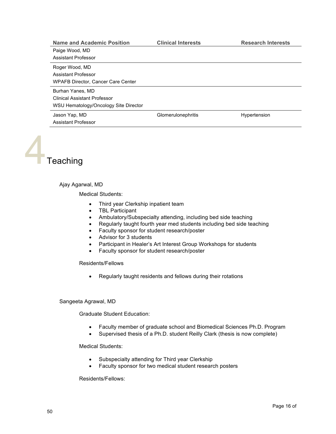| <b>Name and Academic Position</b>     | <b>Clinical Interests</b> | <b>Research Interests</b> |
|---------------------------------------|---------------------------|---------------------------|
| Paige Wood, MD                        |                           |                           |
| Assistant Professor                   |                           |                           |
| Roger Wood, MD                        |                           |                           |
| Assistant Professor                   |                           |                           |
| WPAFB Director, Cancer Care Center    |                           |                           |
| Burhan Yanes, MD                      |                           |                           |
| <b>Clinical Assistant Professor</b>   |                           |                           |
| WSU Hematology/Oncology Site Director |                           |                           |
| Jason Yap, MD                         | Glomerulonephritis        | Hypertension              |
| Assistant Professor                   |                           |                           |

**Teaching** 

# Ajay Agarwal, MD

Medical Students:

- Third year Clerkship inpatient team
- TBL Participant
- Ambulatory/Subspecialty attending, including bed side teaching
- Regularly taught fourth year med students including bed side teaching
- Faculty sponsor for student research/poster
- Advisor for 3 students
- Participant in Healer's Art Interest Group Workshops for students
- Faculty sponsor for student research/poster

Residents/Fellows

• Regularly taught residents and fellows during their rotations

# Sangeeta Agrawal, MD

Graduate Student Education:

- Faculty member of graduate school and Biomedical Sciences Ph.D. Program
- Supervised thesis of a Ph.D. student Reilly Clark (thesis is now complete)

Medical Students:

- Subspecialty attending for Third year Clerkship
- Faculty sponsor for two medical student research posters

Residents/Fellows: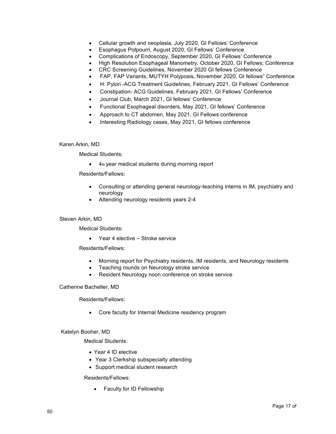- Cellular growth and neoplasia, July 2020, GI Fellows' Conference
- Esophagus Potpourri, August 2020, GI Fellows' Conference
- Complications of Endoscopy, September 2020, GI Fellows' Conference
- High Resolution Esophageal Manometry, October 2020, GI Fellows; Conference
- CRC Screening Guidelines, November 2020 GI fellows Conference
- FAP, FAP Variants, MUTYH Polyposis, November 2020, GI fellows" Conference
- H. Pylori -ACG Treatment Guidelines, February 2021, GI Fellows' Conference
- Constipation- ACG Guidelines, February 2021, GI Fellows' Conference
- Journal Club, March 2021, GI fellows' Conference
- Functional Esophageal disorders, May 2021, GI fellows' Conference
- Approach to CT abdomen, May 2021, GI Fellows conference
- Interesting Radiology cases, May 2021, GI fellows conference

# Karen Arkin, MD

Medical Students:

• 4th year medical students during morning report

Residents/Fellows:

- Consulting or attending general neurology-teaching interns in IM, psychiatry and neurology
- Attending neurology residents years 2-4

# Steven Arkin, MD

Medical Students:

• Year 4 elective – Stroke service

Residents/Fellows:

- Morning report for Psychiatry residents, IM residents, and Neurology residents
- Teaching rounds on Neurology stroke service
- Resident Neurology noon conference on stroke service

Catherine Bacheller, MD

Residents/Fellows:

• Core faculty for Internal Medicine residency program

# Katelyn Booher, MD

Medical Students:

- Year 4 ID elective
- Year 3 Clerkship subspecialty attending
- Support medical student research

Residents/Fellows:

• Faculty for ID Fellowship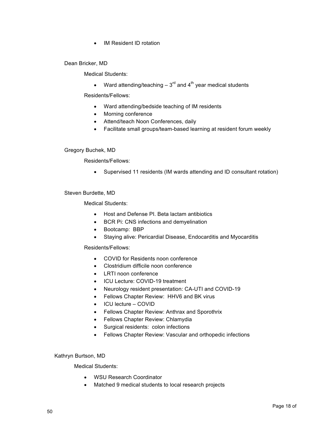• IM Resident ID rotation

Dean Bricker, MD

Medical Students:

• Ward attending/teaching  $-3^{rd}$  and  $4^{th}$  year medical students

Residents/Fellows:

- Ward attending/bedside teaching of IM residents
- Morning conference
- Attend/teach Noon Conferences, daily
- Facilitate small groups/team-based learning at resident forum weekly

# Gregory Buchek, MD

Residents/Fellows:

• Supervised 11 residents (IM wards attending and ID consultant rotation)

Steven Burdette, MD

Medical Students:

- Host and Defense PI. Beta lactam antibiotics
- BCR Pi: CNS infections and demyelination
- Bootcamp: BBP
- Staying alive: Pericardial Disease, Endocarditis and Myocarditis

# Residents/Fellows:

- COVID for Residents noon conference
- Clostridium difficile noon conference
- LRTI noon conference
- ICU Lecture: COVID-19 treatment
- Neurology resident presentation: CA-UTI and COVID-19
- Fellows Chapter Review: HHV6 and BK virus
- ICU lecture COVID
- Fellows Chapter Review: Anthrax and Sporothrix
- Fellows Chapter Review: Chlamydia
- Surgical residents: colon infections
- Fellows Chapter Review: Vascular and orthopedic infections

# Kathryn Burtson, MD

- WSU Research Coordinator
- Matched 9 medical students to local research projects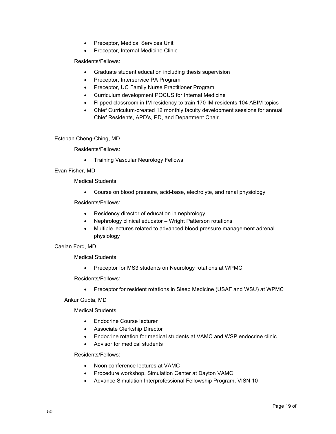- Preceptor, Medical Services Unit
- Preceptor, Internal Medicine Clinic

- Graduate student education including thesis supervision
- Preceptor, Interservice PA Program
- Preceptor, UC Family Nurse Practitioner Program
- Curriculum development POCUS for Internal Medicine
- Flipped classroom in IM residency to train 170 IM residents 104 ABIM topics
- Chief Curriculum-created 12 monthly faculty development sessions for annual Chief Residents, APD's, PD, and Department Chair.

Esteban Cheng-Ching, MD

Residents/Fellows:

• Training Vascular Neurology Fellows

# Evan Fisher, MD

Medical Students:

• Course on blood pressure, acid-base, electrolyte, and renal physiology

Residents/Fellows:

- Residency director of education in nephrology
- Nephrology clinical educator Wright Patterson rotations
- Multiple lectures related to advanced blood pressure management adrenal physiology

# Caelan Ford, MD

Medical Students:

• Preceptor for MS3 students on Neurology rotations at WPMC

Residents/Fellows:

• Preceptor for resident rotations in Sleep Medicine (USAF and WSU) at WPMC

Ankur Gupta, MD

Medical Students:

- Endocrine Course lecturer
- Associate Clerkship Director
- Endocrine rotation for medical students at VAMC and WSP endocrine clinic
- Advisor for medical students

Residents/Fellows:

- Noon conference lectures at VAMC
- Procedure workshop, Simulation Center at Dayton VAMC
- Advance Simulation Interprofessional Fellowship Program, VISN 10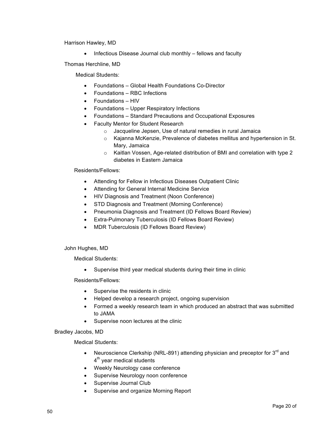Harrison Hawley, MD

• Infectious Disease Journal club monthly – fellows and faculty

Thomas Herchline, MD

Medical Students:

- Foundations Global Health Foundations Co-Director
- Foundations RBC Infections
- Foundations HIV
- Foundations Upper Respiratory Infections
- Foundations Standard Precautions and Occupational Exposures
- Faculty Mentor for Student Research
	- o Jacqueline Jepsen, Use of natural remedies in rural Jamaica
	- o Kajanna McKenzie, Prevalence of diabetes mellitus and hypertension in St. Mary, Jamaica
	- o Kaitlan Vossen, Age-related distribution of BMI and correlation with type 2 diabetes in Eastern Jamaica

Residents/Fellows:

- Attending for Fellow in Infectious Diseases Outpatient Clinic
- Attending for General Internal Medicine Service
- HIV Diagnosis and Treatment (Noon Conference)
- STD Diagnosis and Treatment (Morning Conference)
- Pneumonia Diagnosis and Treatment (ID Fellows Board Review)
- Extra-Pulmonary Tuberculosis (ID Fellows Board Review)
- MDR Tuberculosis (ID Fellows Board Review)

# John Hughes, MD

Medical Students:

• Supervise third year medical students during their time in clinic

Residents/Fellows:

- Supervise the residents in clinic
- Helped develop a research project, ongoing supervision
- Formed a weekly research team in which produced an abstract that was submitted to JAMA
- Supervise noon lectures at the clinic

# Bradley Jacobs, MD

- Neuroscience Clerkship (NRL-891) attending physician and preceptor for  $3<sup>rd</sup>$  and  $4<sup>th</sup>$  year medical students
- Weekly Neurology case conference
- Supervise Neurology noon conference
- Supervise Journal Club
- Supervise and organize Morning Report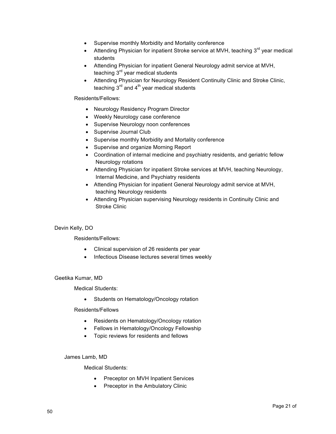- Supervise monthly Morbidity and Mortality conference
- Attending Physician for inpatient Stroke service at MVH, teaching  $3<sup>rd</sup>$  year medical students
- Attending Physician for inpatient General Neurology admit service at MVH, teaching  $3<sup>rd</sup>$  year medical students
- Attending Physician for Neurology Resident Continuity Clinic and Stroke Clinic, teaching  $3<sup>rd</sup>$  and  $4<sup>th</sup>$  year medical students

- Neurology Residency Program Director
- Weekly Neurology case conference
- Supervise Neurology noon conferences
- Supervise Journal Club
- Supervise monthly Morbidity and Mortality conference
- Supervise and organize Morning Report
- Coordination of internal medicine and psychiatry residents, and geriatric fellow Neurology rotations
- Attending Physician for inpatient Stroke services at MVH, teaching Neurology, Internal Medicine, and Psychiatry residents
- Attending Physician for inpatient General Neurology admit service at MVH, teaching Neurology residents
- Attending Physician supervising Neurology residents in Continuity Clinic and Stroke Clinic

# Devin Kelly, DO

Residents/Fellows:

- Clinical supervision of 26 residents per year
- Infectious Disease lectures several times weekly

#### Geetika Kumar, MD

Medical Students:

Students on Hematology/Oncology rotation

Residents/Fellows

- Residents on Hematology/Oncology rotation
- Fellows in Hematology/Oncology Fellowship
- Topic reviews for residents and fellows

# James Lamb, MD

- Preceptor on MVH Inpatient Services
- Preceptor in the Ambulatory Clinic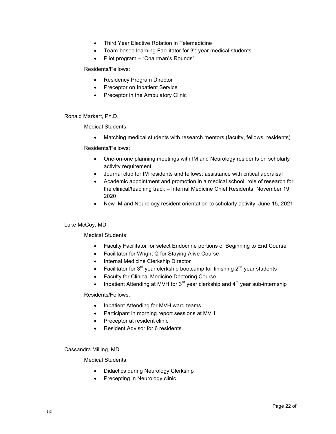- Third Year Elective Rotation in Telemedicine
- Team-based learning Facilitator for  $3<sup>rd</sup>$  year medical students
- Pilot program "Chairman's Rounds"

- Residency Program Director
- Preceptor on Inpatient Service
- Preceptor in the Ambulatory Clinic

Ronald Markert, Ph.D.

Medical Students:

• Matching medical students with research mentors (faculty, fellows, residents)

Residents/Fellows:

- One-on-one planning meetings with IM and Neurology residents on scholarly activity requirement
- Journal club for IM residents and fellows: assistance with critical appraisal
- Academic appointment and promotion in a medical school: role of research for the clinical/teaching track – Internal Medicine Chief Residents: November 19, 2020
- New IM and Neurology resident orientation to scholarly activity: June 15, 2021

# Luke McCoy, MD

Medical Students:

- Faculty Facilitator for select Endocrine portions of Beginning to End Course
- Facilitator for Wright Q for Staying Alive Course
- Internal Medicine Clerkship Director
- Facilitator for  $3^{rd}$  year clerkship bootcamp for finishing  $2^{nd}$  year students
- Faculty for Clinical Medicine Doctoring Course
- Inpatient Attending at MVH for  $3^{rd}$  year clerkship and  $4^{th}$  year sub-internship

# Residents/Fellows:

- Inpatient Attending for MVH ward teams
- Participant in morning report sessions at MVH
- Preceptor at resident clinic
- Resident Advisor for 6 residents

# Cassandra Milling, MD

- Didactics during Neurology Clerkship
- Precepting in Neurology clinic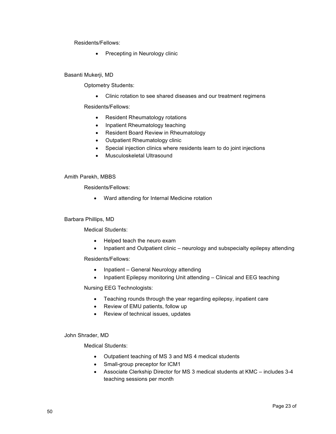• Precepting in Neurology clinic

# Basanti Mukerji, MD

Optometry Students:

• Clinic rotation to see shared diseases and our treatment regimens

Residents/Fellows:

- Resident Rheumatology rotations
- Inpatient Rheumatology teaching
- Resident Board Review in Rheumatology
- Outpatient Rheumatology clinic
- Special injection clinics where residents learn to do joint injections
- Musculoskeletal Ultrasound

# Amith Parekh, MBBS

Residents/Fellows:

• Ward attending for Internal Medicine rotation

# Barbara Phillips, MD

Medical Students:

- Helped teach the neuro exam
- Inpatient and Outpatient clinic neurology and subspecialty epilepsy attending

Residents/Fellows:

- Inpatient General Neurology attending
- Inpatient Epilepsy monitoring Unit attending Clinical and EEG teaching

Nursing EEG Technologists:

- Teaching rounds through the year regarding epilepsy, inpatient care
- Review of EMU patients, follow up
- Review of technical issues, updates

# John Shrader, MD

- Outpatient teaching of MS 3 and MS 4 medical students
- Small-group preceptor for ICM1
- Associate Clerkship Director for MS 3 medical students at KMC includes 3-4 teaching sessions per month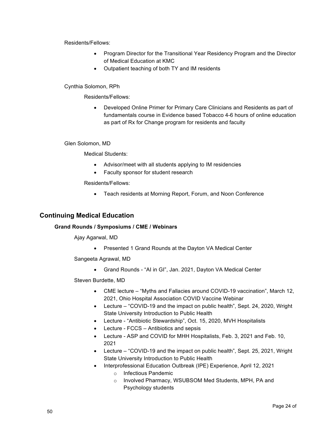- Program Director for the Transitional Year Residency Program and the Director of Medical Education at KMC
- Outpatient teaching of both TY and IM residents

# Cynthia Solomon, RPh

Residents/Fellows:

• Developed Online Primer for Primary Care Clinicians and Residents as part of fundamentals course in Evidence based Tobacco 4-6 hours of online education as part of Rx for Change program for residents and faculty

# Glen Solomon, MD

Medical Students:

- Advisor/meet with all students applying to IM residencies
- Faculty sponsor for student research

Residents/Fellows:

• Teach residents at Morning Report, Forum, and Noon Conference

# **Continuing Medical Education**

# **Grand Rounds / Symposiums / CME / Webinars**

Ajay Agarwal, MD

• Presented 1 Grand Rounds at the Dayton VA Medical Center

Sangeeta Agrawal, MD

• Grand Rounds - "AI in GI", Jan. 2021, Dayton VA Medical Center

Steven Burdette, MD

- CME lecture "Myths and Fallacies around COVID-19 vaccination", March 12, 2021, Ohio Hospital Association COVID Vaccine Webinar
- Lecture "COVID-19 and the impact on public health", Sept. 24, 2020, Wright State University Introduction to Public Health
- Lecture "Antibiotic Stewardship", Oct. 15, 2020, MVH Hospitalists
- Lecture FCCS Antibiotics and sepsis
- Lecture ASP and COVID for MHH Hospitalists, Feb. 3, 2021 and Feb. 10, 2021
- Lecture "COVID-19 and the impact on public health", Sept. 25, 2021, Wright State University Introduction to Public Health
- Interprofessional Education Outbreak (IPE) Experience, April 12, 2021
	- o Infectious Pandemic
	- o Involved Pharmacy, WSUBSOM Med Students, MPH, PA and Psychology students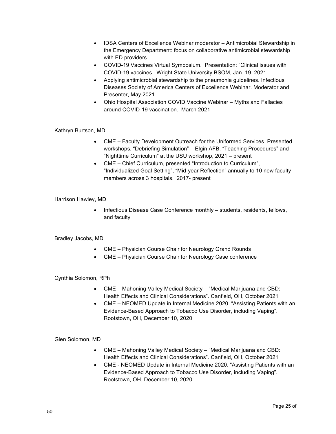- IDSA Centers of Excellence Webinar moderator Antimicrobial Stewardship in the Emergency Department: focus on collaborative antimicrobial stewardship with ED providers
- COVID-19 Vaccines Virtual Symposium. Presentation: "Clinical issues with COVID-19 vaccines. Wright State University BSOM, Jan. 19, 2021
- Applying antimicrobial stewardship to the pneumonia guidelines. Infectious Diseases Society of America Centers of Excellence Webinar. Moderator and Presenter, May,2021
- Ohio Hospital Association COVID Vaccine Webinar Myths and Fallacies around COVID-19 vaccination. March 2021

# Kathryn Burtson, MD

- CME Faculty Development Outreach for the Uniformed Services. Presented workshops, "Debriefing Simulation" – Elgin AFB. "Teaching Procedures" and "Nighttime Curriculum" at the USU workshop, 2021 – present
- CME Chief Curriculum, presented "Introduction to Curriculum", "Individualized Goal Setting", "Mid-year Reflection" annually to 10 new faculty members across 3 hospitals. 2017- present

# Harrison Hawley, MD

• Infectious Disease Case Conference monthly – students, residents, fellows, and faculty

# Bradley Jacobs, MD

- CME Physician Course Chair for Neurology Grand Rounds
- CME Physician Course Chair for Neurology Case conference

# Cynthia Solomon, RPh

- CME Mahoning Valley Medical Society "Medical Marijuana and CBD: Health Effects and Clinical Considerations". Canfield, OH, October 2021
- CME NEOMED Update in Internal Medicine 2020. "Assisting Patients with an Evidence-Based Approach to Tobacco Use Disorder, including Vaping". Rootstown, OH, December 10, 2020

# Glen Solomon, MD

- CME Mahoning Valley Medical Society "Medical Marijuana and CBD: Health Effects and Clinical Considerations". Canfield, OH, October 2021
- CME NEOMED Update in Internal Medicine 2020. "Assisting Patients with an Evidence-Based Approach to Tobacco Use Disorder, including Vaping". Rootstown, OH, December 10, 2020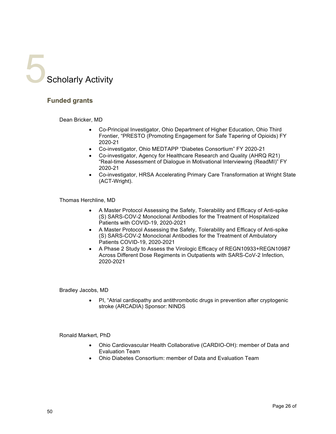

# **Funded grants**

Dean Bricker, MD

- Co-Principal Investigator, Ohio Department of Higher Education, Ohio Third Frontier, "PRESTO (Promoting Engagement for Safe Tapering of Opioids) FY 2020-21
- Co-investigator, Ohio MEDTAPP "Diabetes Consortium" FY 2020-21
- Co-investigator, Agency for Healthcare Research and Quality (AHRQ R21) "Real-time Assessment of Dialogue in Motivational Interviewing (ReadMI)" FY 2020-21
- Co-investigator, HRSA Accelerating Primary Care Transformation at Wright State (ACT-Wright).

Thomas Herchline, MD

- A Master Protocol Assessing the Safety, Tolerability and Efficacy of Anti-spike (S) SARS-COV-2 Monoclonal Antibodies for the Treatment of Hospitalized Patients with COVID-19, 2020-2021
- A Master Protocol Assessing the Safety, Tolerability and Efficacy of Anti-spike (S) SARS-COV-2 Monoclonal Antibodies for the Treatment of Ambulatory Patients COVID-19, 2020-2021
- A Phase 2 Study to Assess the Virologic Efficacy of REGN10933+REGN10987 Across Different Dose Regiments in Outpatients with SARS-CoV-2 Infection, 2020-2021

Bradley Jacobs, MD

• PI, "Atrial cardiopathy and antithrombotic drugs in prevention after cryptogenic stroke (ARCADIA) Sponsor: NINDS

Ronald Markert, PhD

- Ohio Cardiovascular Health Collaborative (CARDIO-OH): member of Data and Evaluation Team
- Ohio Diabetes Consortium: member of Data and Evaluation Team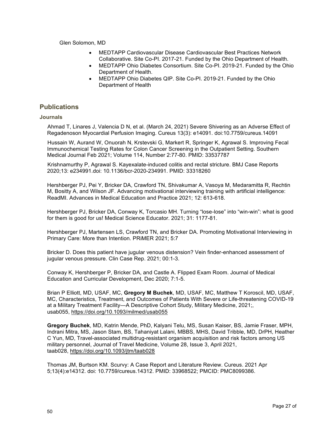Glen Solomon, MD

- MEDTAPP Cardiovascular Disease Cardiovascular Best Practices Network Collaborative. Site Co-PI. 2017-21. Funded by the Ohio Department of Health.
- MEDTAPP Ohio Diabetes Consortium. Site Co-PI. 2019-21. Funded by the Ohio Department of Health.
- MEDTAPP Ohio Diabetes QIP. Site Co-PI. 2019-21. Funded by the Ohio Department of Health

# **Publications**

#### **Journals**

Ahmad T, Linares J, Valencia D N, et al. (March 24, 2021) Severe Shivering as an Adverse Effect of Regadenoson Myocardial Perfusion Imaging. Cureus 13(3): e14091. doi:10.7759/cureus.14091

Hussain W, Aurand W, Onuorah N, Krstevski G, Markert R, Springer K, Agrawal S. Improving Fecal Immunochemical Testing Rates for Colon Cancer Screening in the Outpatient Setting. Southern Medical Journal Feb 2021; Volume 114, Number 2:77-80. PMID: 33537787

Krishnamurthy P, Agrawal S. Kayexalate-induced colitis and rectal stricture. BMJ Case Reports 2020;13: e234991.doi: 10.1136/bcr-2020-234991. PMID: 33318260

Hershberger PJ, Pei Y, Bricker DA, Crawford TN, Shivakumar A, Vasoya M, Medaramitta R, Rechtin M, Bositty A, and Wilson JF. Advancing motivational interviewing training with artificial intelligence: ReadMI. Advances in Medical Education and Practice 2021; 12: 613-618.

Hershberger PJ, Bricker DA, Conway K, Torcasio MH. Turning "lose-lose" into "win-win": what is good for them is good for us! Medical Science Educator. 2021; 31: 1177-81.

Hershberger PJ, Martensen LS, Crawford TN, and Bricker DA. Promoting Motivational Interviewing in Primary Care: More than Intention. PRiMER 2021; 5:7

Bricker D. Does this patient have jugular venous distension? Vein finder-enhanced assessment of jugular venous pressure. Clin Case Rep. 2021; 00:1-3.

Conway K, Hershberger P, Bricker DA, and Castle A. Flipped Exam Room. Journal of Medical Education and Curricular Development, Dec 2020; 7:1-5.

Brian P Elliott, MD, USAF, MC, **Gregory M Buchek**, MD, USAF, MC, Matthew T Koroscil, MD, USAF, MC, Characteristics, Treatment, and Outcomes of Patients With Severe or Life-threatening COVID-19 at a Military Treatment Facility—A Descriptive Cohort Study, Military Medicine, 2021;, usab055, https://doi.org/10.1093/milmed/usab055

**Gregory Buchek**, MD, Katrin Mende, PhD, Kalyani Telu, MS, Susan Kaiser, BS, Jamie Fraser, MPH, Indrani Mitra, MS, Jason Stam, BS, Tahaniyat Lalani, MBBS, MHS, David Tribble, MD, DrPH, Heather C Yun, MD, Travel-associated multidrug-resistant organism acquisition and risk factors among US military personnel, Journal of Travel Medicine, Volume 28, Issue 3, April 2021, taab028, https://doi.org/10.1093/jtm/taab028

Thomas JM, Burtson KM. Scurvy: A Case Report and Literature Review. Cureus. 2021 Apr 5;13(4):e14312. doi: 10.7759/cureus.14312. PMID: 33968522; PMCID: PMC8099386.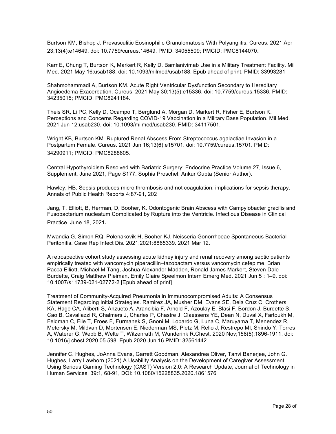Burtson KM, Bishop J. Prevasculitic Eosinophilic Granulomatosis With Polyangiitis. Cureus. 2021 Apr 23;13(4):e14649. doi: 10.7759/cureus.14649. PMID: 34055509; PMCID: PMC8144070.

Karr E, Chung T, Burtson K, Markert R, Kelly D. Bamlanivimab Use in a Military Treatment Facility. Mil Med. 2021 May 16:usab188. doi: 10.1093/milmed/usab188. Epub ahead of print. PMID: 33993281

Shahmohammadi A, Burtson KM. Acute Right Ventricular Dysfunction Secondary to Hereditary Angioedema Exacerbation. Cureus. 2021 May 30;13(5):e15336. doi: 10.7759/cureus.15336. PMID: 34235015; PMCID: PMC8241184.

Theis SR, Li PC, Kelly D, Ocampo T, Berglund A, Morgan D, Markert R, Fisher E, Burtson K. Perceptions and Concerns Regarding COVID-19 Vaccination in a Military Base Population. Mil Med. 2021 Jun 12:usab230. doi: 10.1093/milmed/usab230. PMID: 34117501.

Wright KB, Burtson KM. Ruptured Renal Abscess From Streptococcus agalactiae Invasion in a Postpartum Female. Cureus. 2021 Jun 16;13(6):e15701. doi: 10.7759/cureus.15701. PMID: 34290911; PMCID: PMC8288605.

Central Hypothyroidism Resolved with Bariatric Surgery: Endocrine Practice Volume 27, Issue 6, Supplement, June 2021, Page S177. Sophia Proschel, Ankur Gupta (Senior Author).

Hawley, HB. Sepsis produces micro thrombosis and not coagulation: implications for sepsis therapy. Annals of Public Health Reports 4:87-91, 202

Jang, T, Elliott, B, Herman, D, Booher, K. Odontogenic Brain Abscess with Campylobacter gracilis and Fusobacterium nucleatum Complicated by Rupture into the Ventricle. Infectious Disease in Clinical Practice. June 18, 2021.

Mwandia G, Simon RQ, Polenakovik H, Booher KJ. Neisseria Gonorrhoeae Spontaneous Bacterial Peritonitis. Case Rep Infect Dis. 2021;2021:8865339. 2021 Mar 12.

A retrospective cohort study assessing acute kidney injury and renal recovery among septic patients empirically treated with vancomycin piperacillin–tazobactam versus vancomycin cefepime. Brian Pacca Elliott, Michael M Tang, Joshua Alexander Madden, Ronald James Markert, Steven Dale Burdette, Craig Matthew Pleiman, Emily Claire Speelmon Intern Emerg Med. 2021 Jun 5 : 1–9. doi: 10.1007/s11739-021-02772-2 [Epub ahead of print]

Treatment of Community-Acquired Pneumonia in Immunocompromised Adults: A Consensus Statement Regarding Initial Strategies. Ramirez JA, Musher DM, Evans SE, Dela Cruz C, Crothers KA, Hage CA, Aliberti S, Anzueto A, Arancibia F, Arnold F, Azoulay E, Blasi F, Bordon J, Burdette S, Cao B, Cavallazzi R, Chalmers J, Charles P, Chastre J, Claessens YE, Dean N, Duval X, Fartoukh M, Feldman C, File T, Froes F, Furmanek S, Gnoni M, Lopardo G, Luna C, Maruyama T, Menendez R, Metersky M, Mildvan D, Mortensen E, Niederman MS, Pletz M, Rello J, Restrepo MI, Shindo Y, Torres A, Waterer G, Webb B, Welte T, Witzenrath M, Wunderink R.Chest. 2020 Nov;158(5):1896-1911. doi: 10.1016/j.chest.2020.05.598. Epub 2020 Jun 16.PMID: 32561442

Jennifer C. Hughes, JoAnna Evans, Garrett Goodman, Alexandrea Oliver, Tanvi Banerjee, John G. Hughes, Larry Lawhorn (2021) A Usability Analysis on the Development of Caregiver Assessment Using Serious Gaming Technology (CAST) Version 2.0: A Research Update, Journal of Technology in Human Services, 39:1, 68-91, DOI: 10.1080/15228835.2020.1861576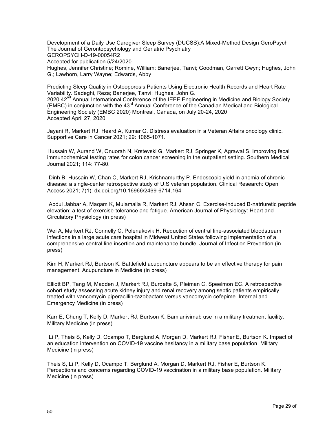Development of a Daily Use Caregiver Sleep Survey (DUCSS):A Mixed-Method Design GeroPsych The Journal of Gerontopsychology and Geriatric Psychiatry GEROPSYCH-D-19-00054R2 Accepted for publication 5/24/2020 Hughes, Jennifer Christine; Romine, William; Banerjee, Tanvi; Goodman, Garrett Gwyn; Hughes, John G.; Lawhorn, Larry Wayne; Edwards, Abby

Predicting Sleep Quality in Osteoporosis Patients Using Electronic Health Records and Heart Rate Variability. Sadeghi, Reza; Banerjee, Tanvi; Hughes, John G. 2020 42<sup>nd</sup> Annual International Conference of the IEEE Engineering in Medicine and Biology Society (EMBC) in conjunction with the  $43<sup>rd</sup>$  Annual Conference of the Canadian Medical and Biological Engineering Society (EMBC 2020) Montreal, Canada, on July 20-24, 2020 Accepted April 27, 2020

Jayani R, Markert RJ, Heard A, Kumar G. Distress evaluation in a Veteran Affairs oncology clinic. Supportive Care in Cancer 2021; 29: 1065-1071.

Hussain W, Aurand W, Onuorah N, Krstevski G, Markert RJ, Springer K, Agrawal S. Improving fecal immunochemical testing rates for colon cancer screening in the outpatient setting. Southern Medical Journal 2021; 114: 77-80.

Dinh B, Hussain W, Chan C, Markert RJ, Krishnamurthy P. Endoscopic yield in anemia of chronic disease: a single-center retrospective study of U.S veteran population. Clinical Research: Open Access 2021; 7(1): dx.doi.org/10.16966/2469-6714.164

Abdul Jabbar A, Maqam K, Mulamalla R, Markert RJ, Ahsan C. Exercise-induced B-natriuretic peptide elevation: a test of exercise-tolerance and fatigue. American Journal of Physiology: Heart and Circulatory Physiology (in press)

Wei A, Markert RJ, Connelly C, Polenakovik H. Reduction of central line-associated bloodstream infections in a large acute care hospital in Midwest United States following implementation of a comprehensive central line insertion and maintenance bundle. Journal of Infection Prevention (in press)

Kim H, Markert RJ, Burtson K. Battlefield acupuncture appears to be an effective therapy for pain management. Acupuncture in Medicine (in press)

Elliott BP, Tang M, Madden J, Markert RJ, Burdette S, Pleiman C, Speelmon EC. A retrospective cohort study assessing acute kidney injury and renal recovery among septic patients empirically treated with vancomycin piperacillin-tazobactam versus vancomycin cefepime. Internal and Emergency Medicine (in press)

Karr E, Chung T, Kelly D, Markert RJ, Burtson K. Bamlanivimab use in a military treatment facility. Military Medicine (in press)

Li P, Theis S, Kelly D, Ocampo T, Berglund A, Morgan D, Markert RJ, Fisher E, Burtson K. Impact of an education intervention on COVID-19 vaccine hesitancy in a military base population. Military Medicine (in press)

Theis S, Li P, Kelly D, Ocampo T, Berglund A, Morgan D, Markert RJ, Fisher E, Burtson K. Perceptions and concerns regarding COVID-19 vaccination in a military base population. Military Medicine (in press)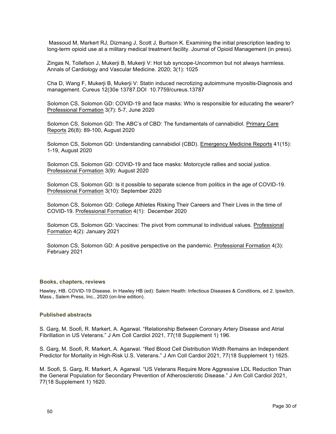Massoud M, Markert RJ, Dizmang J, Scott J, Burtson K. Examining the initial prescription leading to long-term opioid use at a military medical treatment facility. Journal of Opioid Management (in press).

Zingas N, Tollefson J, Mukerji B, Mukerji V: Hot tub syncope-Uncommon but not always harmless. Annals of Cardiology and Vascular Medicine. 2020; 3(1): 1025

Cha D, Wang F, Mukerji B, Mukerji V: Statin induced necrotizing autoimmune myositis-Diagnosis and management. Cureus 12(30e 13787.DOI 10.7759/cureus.13787

Solomon CS, Solomon GD: COVID-19 and face masks: Who is responsible for educating the wearer? Professional Formation 3(7): 5-7, June 2020

Solomon CS, Solomon GD: The ABC's of CBD: The fundamentals of cannabidiol. Primary Care Reports 26(8): 89-100, August 2020

Solomon CS, Solomon GD: Understanding cannabidiol (CBD). Emergency Medicine Reports 41(15): 1-19, August 2020

Solomon CS, Solomon GD: COVID-19 and face masks: Motorcycle rallies and social justice. Professional Formation 3(9): August 2020

Solomon CS, Solomon GD: Is it possible to separate science from politics in the age of COVID-19. Professional Formation 3(10): September 2020

Solomon CS, Solomon GD: College Athletes Risking Their Careers and Their Lives in the time of COVID-19. Professional Formation 4(1): December 2020

Solomon CS, Solomon GD: Vaccines: The pivot from communal to individual values. Professional Formation 4(2): January 2021

Solomon CS, Solomon GD: A positive perspective on the pandemic. Professional Formation 4(3): February 2021

#### **Books, chapters, reviews**

Hawley, HB. COVID-19 Disease. In Hawley HB (ed): Salem Health: Infectious Diseases & Conditions, ed 2. Ipswitch, Mass., Salem Press, Inc., 2020 (on-line edition).

# **Published abstracts**

S. Garg, M. Soofi, R. Markert, A. Agarwal. "Relationship Between Coronary Artery Disease and Atrial Fibrillation in US Veterans." J Am Coll Cardiol 2021, 77(18 Supplement 1) 196.

S. Garg, M. Soofi, R. Markert, A. Agarwal. "Red Blood Cell Distribution Width Remains an Independent Predictor for Mortality in High-Risk U.S. Veterans." J Am Coll Cardiol 2021, 77(18 Supplement 1) 1625.

M. Soofi, S. Garg, R. Markert, A. Agarwal. "US Veterans Require More Aggressive LDL Reduction Than the General Population for Secondary Prevention of Atherosclerotic Disease." J Am Coll Cardiol 2021, 77(18 Supplement 1) 1620.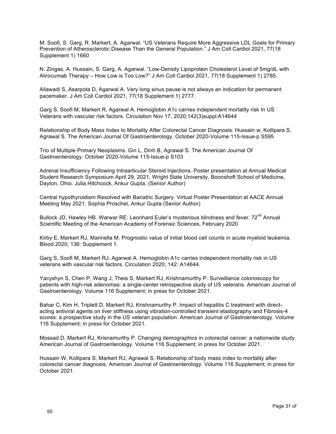M. Soofi, S. Garg, R. Markert, A. Agarwal. "US Veterans Require More Aggressive LDL Goals for Primary Prevention of Atherosclerotic Disease Than the General Population." J Am Coll Cardiol 2021, 77(18 Supplement 1) 1660

N. Zingas, A. Hussain, S. Garg, A. Agarwal. "Low-Density Lipoprotein Cholesterol Level of 5mg/dL with Alirocumab Therapy – How Low is Too Low?" J Am Coll Cardiol 2021, 77(18 Supplement 1) 2785.

Ailawadi S, Asarpota D, Agarwal A. Very long sinus pause is not always an indication for permanent pacemaker. J Am Coll Cardiol 2021, 77(18 Supplement 1) 2777.

Garg S, Soofi M, Markert R, Agarwal A. Hemoglobin A1c carries independent mortality risk In US Veterans with vascular risk factors. Circulation Nov 17, 2020;142(3)suppl:A14644

Relationship of Body Mass Index to Mortality After Colorectal Cancer Diagnosis. Hussain w, Kollipara S, Agrawal S. The American Journal Of Gastroenterology. October 2020-Volume 115-Issue-p S595

Trio of Multiple Primary Neoplasms. Gin L, Dinh B, Agrawal S. The American Journal Of Gastroenterology. October 2020-Volume 115-Issue-p S103

Adrenal Insufficiency Following Intraarticular Steroid Injections. Poster presentation at Annual Medical Student Research Symposium April 29, 2021, Wright State University, Boonshoft School of Medicine, Dayton, Ohio. Julia Hitchcock, Ankur Gupta. (Senior Author)

Central hypothyroidism Resolved with Bariatric Surgery. Virtual Poster Presentation at AACE Annual Meeting May 2021. Sophia Proschel, Ankur Gupta (Senior Author)

Bullock JD, Hawley HB. Warwar RE: Leonhard Euler's mysterious blindness and fever. 72<sup>nd</sup> Annual Scientific Meeting of the American Academy of Forensic Sciences, February 2020

Kirby E, Markert RJ, Marinella M. Prognostic value of initial blood cell counts in acute myeloid leukemia. Blood 2020; 136: Supplement 1.

Garg S, Soofi M, Markert RJ, Agarwal A. Hemoglobin A1c carries independent mortality risk in US veterans with vascular risk factors. Circulation 2020; 142: A14644.

Yacyshyn S, Chen P, Wang J, Theis S, Markert RJ, Krishnamurthy P. Surveillance colonoscopy for patients with high-risk adenomas: a single-center retrospective study of US veterans. American Journal of Gastroenterology. Volume 116 Supplement; in press for October 2021.

Bahar C, Kim H, Triplett D, Markert RJ, Krishnamurthy P. Impact of hepatitis C treatment with directacting antiviral agents on liver stiffness using vibration-controlled transient elastography and Fibrosis-4 scores: a prospective study in the US veteran population. American Journal of Gastroenterology. Volume 116 Supplement; in press for October 2021.

Mossad D, Markert RJ, Krisnamurthy P. Changing demographics in colorectal cancer: a nationwide study. American Journal of Gastroenterology. Volume 116 Supplement; in press for October 2021.

Hussain W, Kollipara S, Markert RJ, Agrawal S. Relationship of body mass index to mortality after colorectal cancer diagnosis. American Journal of Gastroenterology. Volume 116 Supplement; in press for October 2021.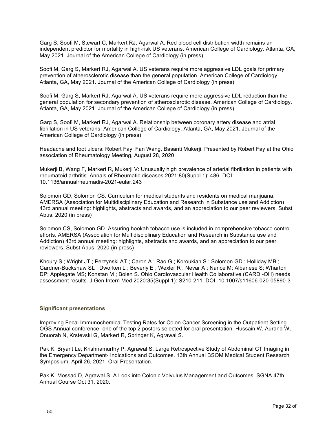Garg S, Soofi M, Stewart C, Markert RJ, Agarwal A. Red blood cell distribution width remains an independent predictor for mortality in high-risk US veterans. American College of Cardiology. Atlanta, GA, May 2021. Journal of the American College of Cardiology (in press)

Soofi M, Garg S, Markert RJ, Agarwal A. US veterans require more aggressive LDL goals for primary prevention of atherosclerotic disease than the general population. American College of Cardiology. Atlanta, GA, May 2021. Journal of the American College of Cardiology (in press)

Soofi M, Garg S, Markert RJ, Agarwal A. US veterans require more aggressive LDL reduction than the general population for secondary prevention of atherosclerotic disease. American College of Cardiology. Atlanta, GA, May 2021. Journal of the American College of Cardiology (in press)

Garg S, Soofi M, Markert RJ, Agarwal A. Relationship between coronary artery disease and atrial fibrillation in US veterans. American College of Cardiology. Atlanta, GA, May 2021. Journal of the American College of Cardiology (in press)

Headache and foot ulcers: Robert Fay, Fan Wang, Basanti Mukerji. Presented by Robert Fay at the Ohio association of Rheumatology Meeting, August 28, 2020

Mukerji B, Wang F, Markert R, Mukerji V: Unusually high prevalence of arterial fibrillation in patients with rheumatoid arthritis. Annals of Rheumatic diseases.2021;80(Suppl 1): 486. DOI 10.1136/annualrheumadis-2021-eular.243

Solomon GD, Solomon CS. Curriculum for medical students and residents on medical marijuana. AMERSA (Association for Multidisciplinary Education and Research in Substance use and Addiction) 43rd annual meeting: highlights, abstracts and awards, and an appreciation to our peer reviewers. Subst Abus. 2020 (in press)

Solomon CS, Solomon GD. Assuring hookah tobacco use is included in comprehensive tobacco control efforts. AMERSA (Association for Multidisciplinary Education and Research in Substance use and Addiction) 43rd annual meeting: highlights, abstracts and awards, and an appreciation to our peer reviewers. Subst Abus. 2020 (in press)

Khoury S ; Wright JT ; Perzynski AT ; Caron A ; Rao G ; Koroukian S ; Solomon GD ; Holliday MB ; Gardner-Buckshaw SL ; Dworken L ; Beverly E ; Wexler R ; Nevar A ; Nance M; Albanese S; Wharton DP; Applegate MS; Konstan M ; Bolen S. Ohio Cardiovascular Health Collaborative (CARDI-OH) needs assessment results. J Gen Intern Med 2020:35(Suppl 1): S210-211. DOI: 10.1007/s11606-020-05890-3

# **Significant presentations**

Improving Fecal Immunochemical Testing Rates for Colon Cancer Screening in the Outpatient Setting. OGS Annual conference -one of the top 2 posters selected for oral presentation. Hussain W, Aurand W, Onuorah N, Krstevski G, Markert R, Springer K, Agrawal S.

Pak K, Bryant Le, Krishnamurthy P, Agrawal S. Large Retrospective Study of Abdominal CT Imaging in the Emergency Department- Indications and Outcomes. 13th Annual BSOM Medical Student Research Symposium. April 26, 2021. Oral Presentation.

Pak K, Mossad D, Agrawal S. A Look into Colonic Volvulus Management and Outcomes. SGNA 47th Annual Course Oct 31, 2020.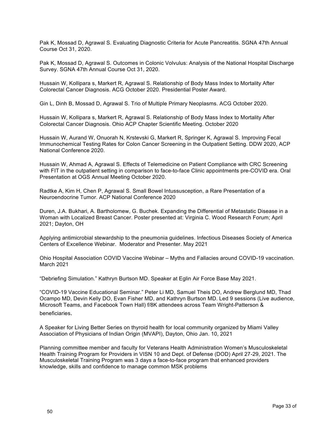Pak K, Mossad D, Agrawal S. Evaluating Diagnostic Criteria for Acute Pancreatitis. SGNA 47th Annual Course Oct 31, 2020.

Pak K, Mossad D, Agrawal S. Outcomes in Colonic Volvulus: Analysis of the National Hospital Discharge Survey. SGNA 47th Annual Course Oct 31, 2020.

Hussain W, Kollipara s, Markert R, Agrawal S. Relationship of Body Mass Index to Mortality After Colorectal Cancer Diagnosis. ACG October 2020. Presidential Poster Award.

Gin L, Dinh B, Mossad D, Agrawal S. Trio of Multiple Primary Neoplasms. ACG October 2020.

Hussain W, Kollipara s, Markert R, Agrawal S. Relationship of Body Mass Index to Mortality After Colorectal Cancer Diagnosis. Ohio ACP Chapter Scientific Meeting. October 2020

Hussain W, Aurand W, Onuorah N, Krstevski G, Markert R, Springer K, Agrawal S. Improving Fecal Immunochemical Testing Rates for Colon Cancer Screening in the Outpatient Setting. DDW 2020, ACP National Conference 2020.

Hussain W, Ahmad A, Agrawal S. Effects of Telemedicine on Patient Compliance with CRC Screening with FIT in the outpatient setting in comparison to face-to-face Clinic appointments pre-COVID era. Oral Presentation at OGS Annual Meeting October 2020.

Radtke A, Kim H, Chen P, Agrawal S. Small Bowel Intussusception, a Rare Presentation of a Neuroendocrine Tumor. ACP National Conference 2020

Duren, J.A. Bukhari, A. Bartholomew, G. Buchek. Expanding the Differential of Metastatic Disease in a Woman with Localized Breast Cancer. Poster presented at: Virginia C. Wood Research Forum; April 2021; Dayton, OH

Applying antimicrobial stewardship to the pneumonia guidelines. Infectious Diseases Society of America Centers of Excellence Webinar. Moderator and Presenter. May 2021

Ohio Hospital Association COVID Vaccine Webinar – Myths and Fallacies around COVID-19 vaccination. March 2021

"Debriefing Simulation." Kathryn Burtson MD. Speaker at Eglin Air Force Base May 2021.

"COVID-19 Vaccine Educational Seminar." Peter Li MD, Samuel Theis DO, Andrew Berglund MD, Thad Ocampo MD, Devin Kelly DO, Evan Fisher MD, and Kathryn Burtson MD. Led 9 sessions (Live audience, Microsoft Teams, and Facebook Town Hall) f/8K attendees across Team Wright-Patterson & beneficiaries.

A Speaker for Living Better Series on thyroid health for local community organized by Miami Valley Association of Physicians of Indian Origin (MVAPI), Dayton, Ohio Jan. 10, 2021

Planning committee member and faculty for Veterans Health Administration Women's Musculoskeletal Health Training Program for Providers in VISN 10 and Dept. of Defense (DOD) April 27-29, 2021. The Musculoskeletal Training Program was 3 days a face-to-face program that enhanced providers knowledge, skills and confidence to manage common MSK problems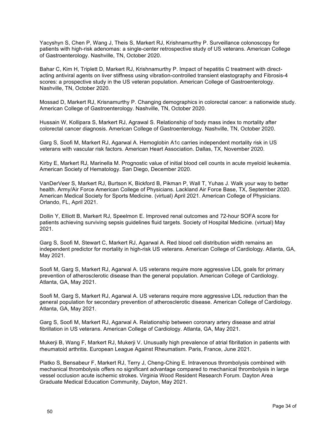Yacyshyn S, Chen P, Wang J, Theis S, Markert RJ, Krishnamurthy P. Surveillance colonoscopy for patients with high-risk adenomas: a single-center retrospective study of US veterans. American College of Gastroenterology. Nashville, TN, October 2020.

Bahar C, Kim H, Triplett D, Markert RJ, Krishnamurthy P. Impact of hepatitis C treatment with directacting antiviral agents on liver stiffness using vibration-controlled transient elastography and Fibrosis-4 scores: a prospective study in the US veteran population. American College of Gastroenterology. Nashville, TN, October 2020.

Mossad D, Markert RJ, Krisnamurthy P. Changing demographics in colorectal cancer: a nationwide study. American College of Gastroenterology. Nashville, TN, October 2020.

Hussain W, Kollipara S, Markert RJ, Agrawal S. Relationship of body mass index to mortality after colorectal cancer diagnosis. American College of Gastroenterology. Nashville, TN, October 2020.

Garg S, Soofi M, Markert RJ, Agarwal A. Hemoglobin A1c carries independent mortality risk in US veterans with vascular risk factors. American Heart Association. Dallas, TX, November 2020.

Kirby E, Markert RJ, Marinella M. Prognostic value of initial blood cell counts in acute myeloid leukemia. American Society of Hematology. San Diego, December 2020.

VanDerVeer S, Markert RJ, Burtson K, Bickford B, Pikman P, Wall T, Yuhas J. Walk your way to better health. Army/Air Force American College of Physicians. Lackland Air Force Base, TX, September 2020. American Medical Society for Sports Medicine. (virtual) April 2021. American College of Physicians. Orlando, FL, April 2021.

Dollin Y, Elliott B, Markert RJ, Speelmon E. Improved renal outcomes and 72-hour SOFA score for patients achieving surviving sepsis guidelines fluid targets. Society of Hospital Medicine. (virtual) May 2021.

Garg S, Soofi M, Stewart C, Markert RJ, Agarwal A. Red blood cell distribution width remains an independent predictor for mortality in high-risk US veterans. American College of Cardiology. Atlanta, GA, May 2021.

Soofi M, Garg S, Markert RJ, Agarwal A. US veterans require more aggressive LDL goals for primary prevention of atherosclerotic disease than the general population. American College of Cardiology. Atlanta, GA, May 2021.

Soofi M, Garg S, Markert RJ, Agarwal A. US veterans require more aggressive LDL reduction than the general population for secondary prevention of atherosclerotic disease. American College of Cardiology. Atlanta, GA, May 2021.

Garg S, Soofi M, Markert RJ, Agarwal A. Relationship between coronary artery disease and atrial fibrillation in US veterans. American College of Cardiology. Atlanta, GA, May 2021.

Mukerji B, Wang F, Markert RJ, Mukerji V. Unusually high prevalence of atrial fibrillation in patients with rheumatoid arthritis. European League Against Rheumatism. Paris, France, June 2021.

Platko S, Bensabeur F, Markert RJ, Terry J, Cheng-Ching E. Intravenous thrombolysis combined with mechanical thrombolysis offers no significant advantage compared to mechanical thrombolysis in large vessel occlusion acute ischemic strokes. Virginia Wood Resident Research Forum. Dayton Area Graduate Medical Education Community, Dayton, May 2021.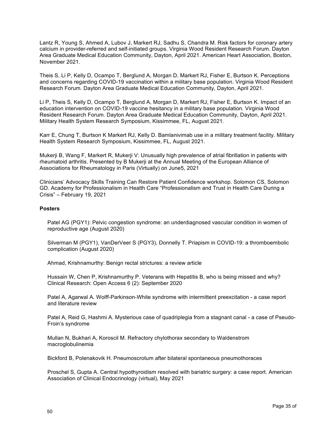Lantz R, Young S, Ahmed A, Lubov J, Markert RJ, Sadhu S, Chandra M. Risk factors for coronary artery calcium in provider-referred and self-initiated groups. Virginia Wood Resident Research Forum. Dayton Area Graduate Medical Education Community, Dayton, April 2021. American Heart Association, Boston, November 2021.

Theis S, Li P, Kelly D, Ocampo T, Berglund A, Morgan D, Markert RJ, Fisher E, Burtson K. Perceptions and concerns regarding COVID-19 vaccination within a military base population. Virginia Wood Resident Research Forum. Dayton Area Graduate Medical Education Community, Dayton, April 2021.

Li P, Theis S, Kelly D, Ocampo T, Berglund A, Morgan D, Markert RJ, Fisher E, Burtson K. Impact of an education intervention on COVID-19 vaccine hesitancy in a military base population. Virginia Wood Resident Research Forum. Dayton Area Graduate Medical Education Community, Dayton, April 2021. Military Health System Research Symposium, Kissimmee, FL, August 2021.

Karr E, Chung T, Burtson K Markert RJ, Kelly D. Bamlanivimab use in a military treatment facility. Military Health System Research Symposium, Kissimmee, FL, August 2021.

Mukerji B, Wang F, Markert R, Mukerji V: Unusually high prevalence of atrial fibrillation in patients with rheumatoid arthritis. Presented by B Mukerji at the Annual Meeting of the European Alliance of Associations for Rheumatology in Paris (Virtually) on June5, 2021

Clinicians' Advocacy Skills Training Can Restore Patient Confidence workshop. Solomon CS, Solomon GD. Academy for Professionalism in Health Care "Professionalism and Trust in Health Care During a Crisis" – February 19, 2021

# **Posters**

Patel AG (PGY1): Pelvic congestion syndrome: an underdiagnosed vascular condition in women of reproductive age (August 2020)

Silverman M (PGY1), VanDerVeer S (PGY3), Donnelly T. Priapism in COVID-19: a thromboembolic complication (August 2020)

Ahmad, Krishnamurthy: Benign rectal strictures: a review article

Hussain W, Chen P, Krishnamurthy P. Veterans with Hepatitis B, who is being missed and why? Clinical Research: Open Access 6 (2): September 2020

Patel A, Agarwal A. Wolff-Parkinson-White syndrome with intermittent preexcitation - a case report and literature review

Patel A, Reid G, Hashmi A. Mysterious case of quadriplegia from a stagnant canal - a case of Pseudo-Froin's syndrome

Mullan N, Bukhari A, Koroscil M. Refractory chylothorax secondary to Waldenstrom macroglobulinemia

Bickford B, Polenakovik H. Pneumoscrotum after bilateral spontaneous pneumothoraces

Proschel S, Gupta A. Central hypothyroidism resolved with bariatric surgery: a case report. American Association of Clinical Endocrinology (virtual), May 2021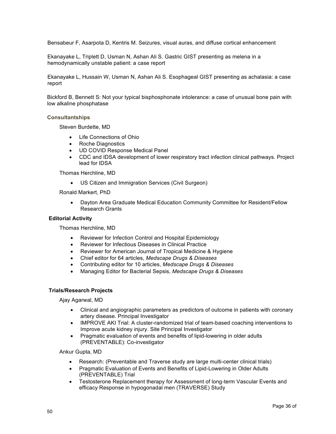Bensabeur F, Asarpota D, Kentris M. Seizures, visual auras, and diffuse cortical enhancement

Ekanayake L, Triplett D, Usman N, Ashan Ali S. Gastric GIST presenting as melena in a hemodynamically unstable patient: a case report

Ekanayake L, Hussain W, Usman N, Ashan Ali S. Esophageal GIST presenting as achalasia: a case report

Bickford B, Bennett S: Not your typical bisphosphonate intolerance: a case of unusual bone pain with low alkaline phosphatase

# **Consultantships**

Steven Burdette, MD

- Life Connections of Ohio
- Roche Diagnostics
- UD COVID Response Medical Panel
- CDC and IDSA development of lower respiratory tract infection clinical pathways. Project lead for IDSA

Thomas Herchline, MD

• US Citizen and Immigration Services (Civil Surgeon)

Ronald Markert, PhD

• Dayton Area Graduate Medical Education Community Committee for Resident/Fellow Research Grants

# **Editorial Activity**

Thomas Herchline, MD

- Reviewer for Infection Control and Hospital Epidemiology
- Reviewer for Infectious Diseases in Clinical Practice
- Reviewer for American Journal of Tropical Medicine & Hygiene
- Chief editor for 64 articles, *Medscape Drugs & Diseases*
- Contributing editor for 10 articles, *Medscape Drugs & Diseases*
- Managing Editor for Bacterial Sepsis, *Medscape Drugs & Diseases*

#### **Trials/Research Projects**

Ajay Agarwal, MD

- Clinical and angiographic parameters as predictors of outcome in patients with coronary artery disease. Principal Investigator
- IMPROVE AKI Trial: A cluster-randomized trial of team-based coaching interventions to Improve acute kidney injury. Site Principal Investigator
- Pragmatic evaluation of events and benefits of lipid-lowering in older adults (PREVENTABLE): Co-investigator

Ankur Gupta, MD

- Research: (Preventable and Traverse study are large multi-center clinical trials)
- Pragmatic Evaluation of Events and Benefits of Lipid-Lowering in Older Adults (PREVENTABLE) Trial
- Testosterone Replacement therapy for Assessment of long-term Vascular Events and efficacy Response in hypogonadal men (TRAVERSE) Study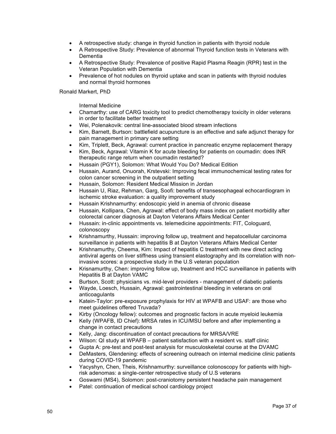- A retrospective study: change in thyroid function in patients with thyroid nodule
- A Retrospective Study: Prevalence of abnormal Thyroid function tests in Veterans with Dementia
- A Retrospective Study: Prevalence of positive Rapid Plasma Reagin (RPR) test in the Veteran Population with Dementia
- Prevalence of hot nodules on thyroid uptake and scan in patients with thyroid nodules and normal thyroid hormones

# Ronald Markert, PhD

Internal Medicine

- Chamarthy: use of CARG toxicity tool to predict chemotherapy toxicity in older veterans in order to facilitate better treatment
- Wei, Polenakovik: central line-associated blood stream infections
- Kim, Barnett, Burtson: battlefield acupuncture is an effective and safe adjunct therapy for pain management in primary care setting
- Kim, Triplett, Beck, Agrawal: current practice in pancreatic enzyme replacement therapy
- Kim, Beck, Agrawal: Vitamin K for acute bleeding for patients on coumadin: does INR therapeutic range return when coumadin restarted?
- Hussain (PGY1), Solomon: What Would You Do? Medical Edition
- Hussain, Aurand, Onuorah, Krstevski: Improving fecal immunochemical testing rates for colon cancer screening in the outpatient setting
- Hussain, Solomon: Resident Medical Mission in Jordan
- Hussain U, Riaz, Rehman, Garg, Soofi: benefits of transesophageal echocardiogram in ischemic stroke evaluation: a quality improvement study
- Hussain Krishnamurthy: endoscopic yield in anemia of chronic disease
- Hussain, Kollipara, Chen, Agrawal: effect of body mass index on patient morbidity after colorectal cancer diagnosis at Dayton Veterans Affairs Medical Center
- Hussain: in-clinic appointments vs. telemedicine appointments: FIT, Cologuard, colonoscopy
- Krishnamurthy, Hussain: improving follow up, treatment and hepatocellular carcinoma surveillance in patients with hepatitis B at Dayton Veterans Affairs Medical Center
- Krishnamurthy, Cheema, Kim: Impact of hepatitis C treatment with new direct acting antiviral agents on liver stiffness using transient elastography and its correlation with noninvasive scores: a prospective study in the U.S veteran population
- Krisnamurthy, Chen: improving follow up, treatment and HCC surveillance in patients with Hepatitis B at Dayton VAMC
- Burtson, Scott: physicians vs. mid-level providers management of diabetic patients
- Wayde, Loesch, Hussain, Agrawal: gastrointestinal bleeding in veterans on oral anticoagulants
- Katein-Taylor: pre-exposure prophylaxis for HIV at WPAFB and USAF: are those who meet guidelines offered Truvada?
- Kirby (Oncology fellow): outcomes and prognostic factors in acute myeloid leukemia
- Kelly (WPAFB, ID Chief): MRSA rates in ICU/MSU before and after implementing a change in contact precautions
- Kelly, Jang: discontinuation of contact precautions for MRSA/VRE
- Wilson: QI study at WPAFB patient satisfaction with a resident vs. staff clinic
- Gupta A: pre-test and post-test analysis for musculoskeletal course at the DVAMC
- DeMasters, Glendening: effects of screening outreach on internal medicine clinic patients during COVID-19 pandemic
- Yacyshyn, Chen, Theis, Krishnamurthy: surveillance colonoscopy for patients with highrisk adenomas: a single-center retrospective study of U.S veterans
- Goswami (MS4), Solomon: post-craniotomy persistent headache pain management
- Patel: continuation of medical school cardiology project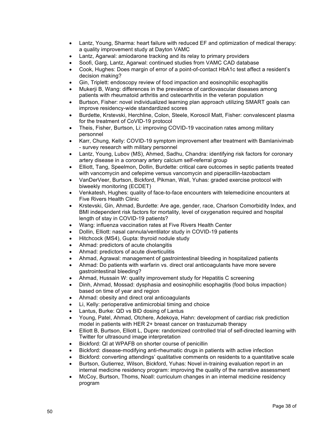- Lantz, Young, Sharma: heart failure with reduced EF and optimization of medical therapy: a quality improvement study at Dayton VAMC
- Lantz, Agarwal: amiodarone tracking and its relay to primary providers
- Soofi, Garg, Lantz, Agarwal: continued studies from VAMC CAD database
- Cook, Hughes: Does margin of error of a point-of-contact HbA1c test affect a resident's decision making?
- Gin, Triplett: endoscopy review of food impaction and eosinophilic esophagitis
- Mukerji B, Wang: differences in the prevalence of cardiovascular diseases among patients with rheumatoid arthritis and osteoarthritis in the veteran population
- Burtson, Fisher: novel individualized learning plan approach utilizing SMART goals can improve residency-wide standardized scores
- Burdette, Krstevski, Herchline, Colon, Steele, Koroscil Matt, Fisher: convalescent plasma for the treatment of CoVID-19 protocol
- Theis, Fisher, Burtson, Li: improving COVID-19 vaccination rates among military personnel
- Karr, Chung, Kelly: COVID-19 symptom improvement after treatment with Bamlanivimab - survey research with military personnel
- Lantz, Young, Lubov (MS), Ahmed, Sadhu, Chandra: identifying risk factors for coronary artery disease in a coronary artery calcium self-referral group
- Elliott, Tang, Speelmon, Dollin, Burdette: critical care outcomes in septic patients treated with vancomycin and cefepime versus vancomycin and piperacillin-tazobactam
- VanDerVeer, Burtson, Bickford, Pikman, Wall, Yuhas: graded exercise protocol with biweekly monitoring (ECDET)
- Venkatesh, Hughes: quality of face-to-face encounters with telemedicine encounters at Five Rivers Health Clinic
- Krstevski, Gin, Ahmad, Burdette: Are age, gender, race, Charlson Comorbidity Index, and BMI independent risk factors for mortality, level of oxygenation required and hospital length of stay in COVID-19 patients?
- Wang: influenza vaccination rates at Five Rivers Health Center
- Dollin, Elliott: nasal cannula/ventilator study in COVID-19 patients
- Hitchcock (MS4), Gupta: thyroid nodule study
- Ahmad: predictors of acute cholangitis
- Ahmad: predictors of acute diverticulitis
- Ahmad, Agrawal: management of gastrointestinal bleeding in hospitalized patients
- Ahmad: Do patients with warfarin vs. direct oral anticoagulants have more severe gastrointestinal bleeding?
- Ahmad, Hussain W: quality improvement study for Hepatitis C screening
- Dinh, Ahmad, Mossad: dysphasia and eosinophilic esophagitis (food bolus impaction) based on time of year and region
- Ahmad: obesity and direct oral anticoagulants
- Li, Kelly: perioperative antimicrobial timing and choice
- Lantus, Burke: QD vs BID dosing of Lantus
- Young, Patel, Ahmad, Otchere, Adekoya, Hahn: development of cardiac risk prediction model in patients with HER 2+ breast cancer on trastuzumab therapy
- Elliott B, Burtson, Elliott L, Dupre: randomized controlled trial of self-directed learning with Twitter for ultrasound image interpretation
- Bickford: QI at WPAFB on shorter course of penicillin
- Bickford: disease-modifying anti-rheumatic drugs in patients with active infection
- Bickford: converting attendings' qualitative comments on residents to a quantitative scale
- Burtson, Gutierrez, Wilson, Bickford, Yuhas: Novel in-training evaluation report in an internal medicine residency program: improving the quality of the narrative assessment
- McCoy, Burtson, Thoms, Noall: curriculum changes in an internal medicine residency program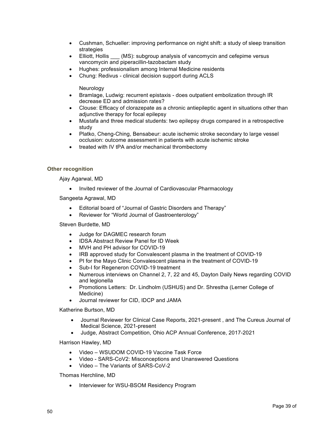- Cushman, Schueller: improving performance on night shift: a study of sleep transition strategies
- Elliott, Hollis \_\_\_ (MS): subgroup analysis of vancomycin and cefepime versus vancomycin and piperacillin-tazobactam study
- Hughes: professionalism among Internal Medicine residents
- Chung: Redivus clinical decision support during ACLS

**Neurology** 

- Bramlage, Ludwig: recurrent epistaxis does outpatient embolization through IR decrease ED and admission rates?
- Clouse: Efficacy of clorazepate as a chronic antiepileptic agent in situations other than adjunctive therapy for focal epilepsy
- Mustafa and three medical students: two epilepsy drugs compared in a retrospective study
- Platko, Cheng-Ching, Bensabeur: acute ischemic stroke secondary to large vessel occlusion: outcome assessment in patients with acute ischemic stroke
- treated with IV tPA and/or mechanical thrombectomy

# **Other recognition**

Ajay Agarwal, MD

• Invited reviewer of the Journal of Cardiovascular Pharmacology

Sangeeta Agrawal, MD

- Editorial board of "Journal of Gastric Disorders and Therapy"
- Reviewer for "World Journal of Gastroenterology"

Steven Burdette, MD

- Judge for DAGMEC research forum
- IDSA Abstract Review Panel for ID Week
- MVH and PH advisor for COVID-19
- IRB approved study for Convalescent plasma in the treatment of COVID-19
- PI for the Mayo Clinic Convalescent plasma in the treatment of COVID-19
- Sub-I for Regeneron COVID-19 treatment
- Numerous interviews on Channel 2, 7, 22 and 45, Dayton Daily News regarding COVID and legionella
- Promotions Letters: Dr. Lindholm (USHUS) and Dr. Shrestha (Lerner College of Medicine)
- Journal reviewer for CID, IDCP and JAMA

Katherine Burtson, MD

- Journal Reviewer for Clinical Case Reports, 2021-present , and The Cureus Journal of Medical Science, 2021-present
- Judge, Abstract Competition, Ohio ACP Annual Conference, 2017-2021

Harrison Hawley, MD

- Video WSUDOM COVID-19 Vaccine Task Force
- Video SARS-CoV2: Misconceptions and Unanswered Questions
- Video The Variants of SARS-CoV-2

Thomas Herchline, MD

• Interviewer for WSU-BSOM Residency Program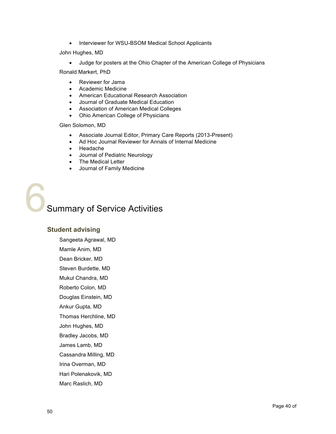• Interviewer for WSU-BSOM Medical School Applicants

# John Hughes, MD

• Judge for posters at the Ohio Chapter of the American College of Physicians

Ronald Markert, PhD

- Reviewer for Jama
- Academic Medicine
- American Educational Research Association
- Journal of Graduate Medical Education
- Association of American Medical Colleges
- Ohio American College of Physicians

# Glen Solomon, MD

- Associate Journal Editor, Primary Care Reports (2013-Present)
- Ad Hoc Journal Reviewer for Annals of Internal Medicine
- Headache
- Journal of Pediatric Neurology
- The Medical Letter
- Journal of Family Medicine

**Summary of Service Activities** 

# **Student advising**

Sangeeta Agrawal, MD Mamle Anim, MD Dean Bricker, MD Steven Burdette, MD Mukul Chandra, MD Roberto Colon, MD Douglas Einstein, MD Ankur Gupta, MD Thomas Herchline, MD John Hughes, MD Bradley Jacobs, MD James Lamb, MD Cassandra Milling, MD Irina Overman, MD Hari Polenakovik, MD Marc Raslich, MD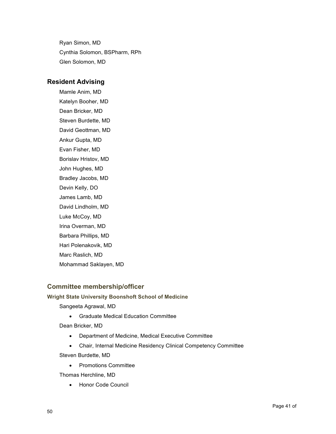Ryan Simon, MD Cynthia Solomon, BSPharm, RPh Glen Solomon, MD

# **Resident Advising**

Mamle Anim, MD Katelyn Booher, MD Dean Bricker, MD Steven Burdette, MD David Geottman, MD Ankur Gupta, MD Evan Fisher, MD Borislav Hristov, MD John Hughes, MD Bradley Jacobs, MD Devin Kelly, DO James Lamb, MD David Lindholm, MD Luke McCoy, MD Irina Overman, MD Barbara Phillips, MD Hari Polenakovik, MD Marc Raslich, MD Mohammad Saklayen, MD

# **Committee membership/officer**

# **Wright State University Boonshoft School of Medicine**

Sangeeta Agrawal, MD

• Graduate Medical Education Committee

Dean Bricker, MD

- Department of Medicine, Medical Executive Committee
- Chair, Internal Medicine Residency Clinical Competency Committee

Steven Burdette, MD

• Promotions Committee

Thomas Herchline, MD

• Honor Code Council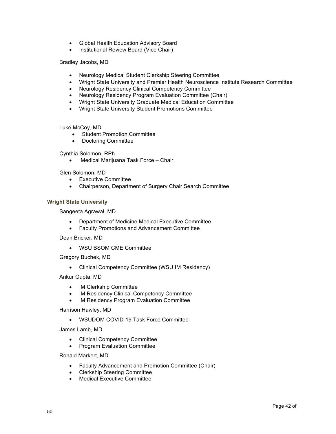- Global Health Education Advisory Board
- Institutional Review Board (Vice Chair)

Bradley Jacobs, MD

- Neurology Medical Student Clerkship Steering Committee
- Wright State University and Premier Health Neuroscience Institute Research Committee
- Neurology Residency Clinical Competency Committee
- Neurology Residency Program Evaluation Committee (Chair)
- Wright State University Graduate Medical Education Committee
- Wright State University Student Promotions Committee

Luke McCoy, MD

- Student Promotion Committee
- Doctoring Committee

Cynthia Solomon, RPh

• Medical Marijuana Task Force – Chair

Glen Solomon, MD

- Executive Committee
- Chairperson, Department of Surgery Chair Search Committee

# **Wright State University**

Sangeeta Agrawal, MD

- Department of Medicine Medical Executive Committee
- Faculty Promotions and Advancement Committee

Dean Bricker, MD

• WSU BSOM CME Committee

Gregory Buchek, MD

• Clinical Competency Committee (WSU IM Residency)

Ankur Gupta, MD

- IM Clerkship Committee
- IM Residency Clinical Competency Committee
- IM Residency Program Evaluation Committee

Harrison Hawley, MD

• WSUDOM COVID-19 Task Force Committee

James Lamb, MD

- Clinical Competency Committee
- Program Evaluation Committee

Ronald Markert, MD

- Faculty Advancement and Promotion Committee (Chair)
- Clerkship Steering Committee
- Medical Executive Committee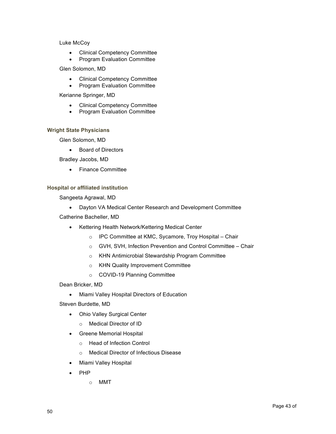# Luke McCoy

- Clinical Competency Committee
- Program Evaluation Committee

# Glen Solomon, MD

- Clinical Competency Committee
- Program Evaluation Committee

Kerianne Springer, MD

- Clinical Competency Committee
- Program Evaluation Committee

# **Wright State Physicians**

Glen Solomon, MD

• Board of Directors

Bradley Jacobs, MD

• Finance Committee

# **Hospital or affiliated institution**

Sangeeta Agrawal, MD

• Dayton VA Medical Center Research and Development Committee

Catherine Bacheller, MD

- Kettering Health Network/Kettering Medical Center
	- o IPC Committee at KMC, Sycamore, Troy Hospital Chair
	- o GVH, SVH, Infection Prevention and Control Committee Chair
	- o KHN Antimicrobial Stewardship Program Committee
	- o KHN Quality Improvement Committee
	- o COVID-19 Planning Committee

Dean Bricker, MD

- Miami Valley Hospital Directors of Education
- Steven Burdette, MD
	- Ohio Valley Surgical Center
		- o Medical Director of ID
	- Greene Memorial Hospital
		- o Head of Infection Control
		- o Medical Director of Infectious Disease
	- Miami Valley Hospital
	- PHP
		- o MMT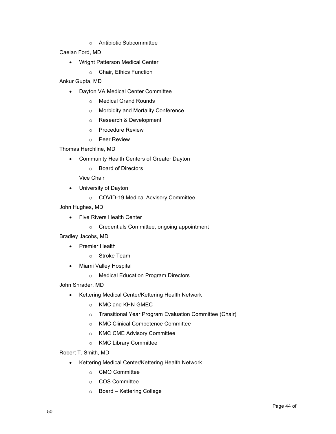o Antibiotic Subcommittee

Caelan Ford, MD

- Wright Patterson Medical Center
	- o Chair, Ethics Function

Ankur Gupta, MD

- Dayton VA Medical Center Committee
	- o Medical Grand Rounds
	- o Morbidity and Mortality Conference
	- o Research & Development
	- o Procedure Review
	- o Peer Review

Thomas Herchline, MD

- Community Health Centers of Greater Dayton
	- o Board of Directors

Vice Chair

- University of Dayton
	- o COVID-19 Medical Advisory Committee

John Hughes, MD

- Five Rivers Health Center
	- o Credentials Committee, ongoing appointment

Bradley Jacobs, MD

- Premier Health
	- o Stroke Team
- Miami Valley Hospital
	- o Medical Education Program Directors

John Shrader, MD

- Kettering Medical Center/Kettering Health Network
	- o KMC and KHN GMEC
	- o Transitional Year Program Evaluation Committee (Chair)
	- o KMC Clinical Competence Committee
	- o KMC CME Advisory Committee
	- o KMC Library Committee

Robert T. Smith, MD

- Kettering Medical Center/Kettering Health Network
	- o CMO Committee
	- o COS Committee
	- o Board Kettering College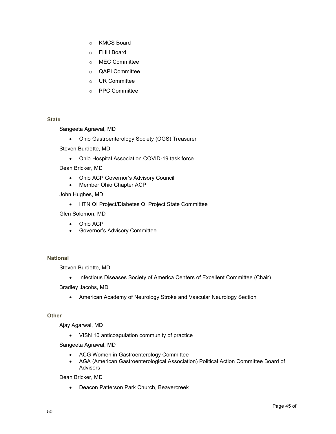- o KMCS Board
- o FHH Board
- o MEC Committee
- o QAPI Committee
- o UR Committee
- o PPC Committee

#### **State**

Sangeeta Agrawal, MD

• Ohio Gastroenterology Society (OGS) Treasurer

Steven Burdette, MD

• Ohio Hospital Association COVID-19 task force

Dean Bricker, MD

- Ohio ACP Governor's Advisory Council
- Member Ohio Chapter ACP

John Hughes, MD

• HTN QI Project/Diabetes QI Project State Committee

Glen Solomon, MD

- Ohio ACP
- Governor's Advisory Committee

# **National**

Steven Burdette, MD

• Infectious Diseases Society of America Centers of Excellent Committee (Chair)

Bradley Jacobs, MD

• American Academy of Neurology Stroke and Vascular Neurology Section

#### **Other**

Ajay Agarwal, MD

• VISN 10 anticoagulation community of practice

Sangeeta Agrawal, MD

- ACG Women in Gastroenterology Committee
- AGA (American Gastroenterological Association) Political Action Committee Board of Advisors

Dean Bricker, MD

• Deacon Patterson Park Church, Beavercreek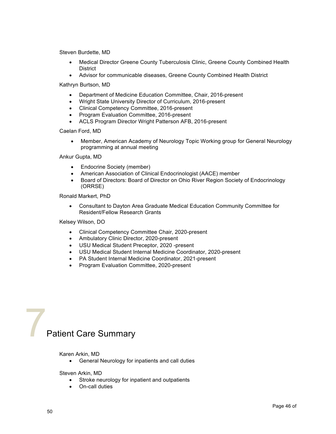Steven Burdette, MD

- Medical Director Greene County Tuberculosis Clinic, Greene County Combined Health **District**
- Advisor for communicable diseases, Greene County Combined Health District

Kathryn Burtson, MD

- Department of Medicine Education Committee, Chair, 2016-present
- Wright State University Director of Curriculum, 2016-present
- Clinical Competency Committee, 2016-present
- Program Evaluation Committee, 2016-present
- ACLS Program Director Wright Patterson AFB, 2016-present

Caelan Ford, MD

• Member, American Academy of Neurology Topic Working group for General Neurology programming at annual meeting

Ankur Gupta, MD

- Endocrine Society (member)
- American Association of Clinical Endocrinologist (AACE) member
- Board of Directors: Board of Director on Ohio River Region Society of Endocrinology (ORRSE)

Ronald Markert, PhD

• Consultant to Dayton Area Graduate Medical Education Community Committee for Resident/Fellow Research Grants

Kelsey Wilson, DO

- Clinical Competency Committee Chair, 2020-present
- Ambulatory Clinic Director, 2020-present
- USU Medical Student Preceptor, 2020 -present
- USU Medical Student Internal Medicine Coordinator, 2020-present
- PA Student Internal Medicine Coordinator, 2021-present
- Program Evaluation Committee, 2020-present



#### Karen Arkin, MD

• General Neurology for inpatients and call duties

Steven Arkin, MD

- Stroke neurology for inpatient and outpatients
- On-call duties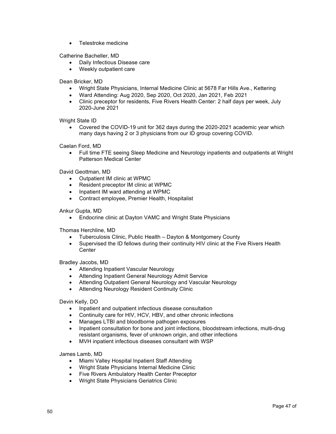• Telestroke medicine

Catherine Bacheller, MD

- Daily Infectious Disease care
- Weekly outpatient care

Dean Bricker, MD

- Wright State Physicians, Internal Medicine Clinic at 5678 Far Hills Ave., Kettering
- Ward Attending: Aug 2020, Sep 2020, Oct 2020, Jan 2021, Feb 2021
- Clinic preceptor for residents, Five Rivers Health Center: 2 half days per week, July 2020-June 2021

Wright State ID

• Covered the COVID-19 unit for 362 days during the 2020-2021 academic year which many days having 2 or 3 physicians from our ID group covering COVID.

Caelan Ford, MD

• Full time FTE seeing Sleep Medicine and Neurology inpatients and outpatients at Wright Patterson Medical Center

David Geottman, MD

- Outpatient IM clinic at WPMC
- Resident preceptor IM clinic at WPMC
- Inpatient IM ward attending at WPMC
- Contract employee, Premier Health, Hospitalist

Ankur Gupta, MD

• Endocrine clinic at Dayton VAMC and Wright State Physicians

Thomas Herchline, MD

- Tuberculosis Clinic, Public Health Dayton & Montgomery County
- Supervised the ID fellows during their continuity HIV clinic at the Five Rivers Health **Center**

Bradley Jacobs, MD

- Attending Inpatient Vascular Neurology
- Attending Inpatient General Neurology Admit Service
- Attending Outpatient General Neurology and Vascular Neurology
- Attending Neurology Resident Continuity Clinic

Devin Kelly, DO

- Inpatient and outpatient infectious disease consultation
- Continuity care for HIV, HCV, HBV, and other chronic infections
- Manages LTBI and bloodborne pathogen exposures
- Inpatient consultation for bone and joint infections, bloodstream infections, multi-drug resistant organisms, fever of unknown origin, and other infections
- MVH inpatient infectious diseases consultant with WSP

James Lamb, MD

- Miami Valley Hospital Inpatient Staff Attending
- Wright State Physicians Internal Medicine Clinic
- Five Rivers Ambulatory Health Center Preceptor
- Wright State Physicians Geriatrics Clinic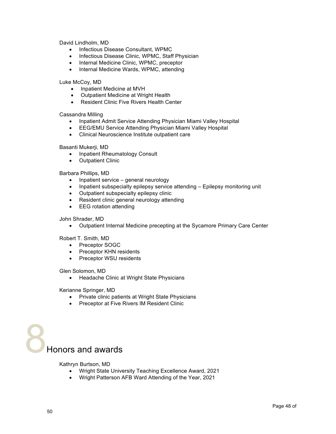David Lindholm, MD

- Infectious Disease Consultant, WPMC
- Infectious Disease Clinic, WPMC, Staff Physician
- Internal Medicine Clinic, WPMC, preceptor
- Internal Medicine Wards, WPMC, attending

Luke McCoy, MD

- Inpatient Medicine at MVH
- Outpatient Medicine at Wright Health
- Resident Clinic Five Rivers Health Center

Cassandra Milling

- Inpatient Admit Service Attending Physician Miami Valley Hospital
- EEG/EMU Service Attending Physician Miami Valley Hospital
- Clinical Neuroscience Institute outpatient care

Basanti Mukerji, MD

- Inpatient Rheumatology Consult
- Outpatient Clinic

# Barbara Phillips, MD

- Inpatient service general neurology
- Inpatient subspecialty epilepsy service attending Epilepsy monitoring unit
- Outpatient subspecialty epilepsy clinic
- Resident clinic general neurology attending
- EEG rotation attending

John Shrader, MD

• Outpatient Internal Medicine precepting at the Sycamore Primary Care Center

Robert T. Smith, MD

- Preceptor SOGC
- Preceptor KHN residents
- Preceptor WSU residents

Glen Solomon, MD

• Headache Clinic at Wright State Physicians

Kerianne Springer, MD

- Private clinic patients at Wright State Physicians
- Preceptor at Five Rivers IM Resident Clinic



Kathryn Burtson, MD

- Wright State University Teaching Excellence Award, 2021
- Wright Patterson AFB Ward Attending of the Year, 2021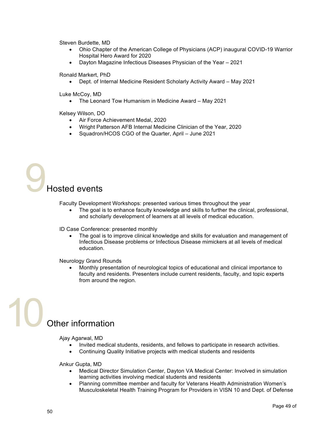Steven Burdette, MD

- Ohio Chapter of the American College of Physicians (ACP) inaugural COVID-19 Warrior Hospital Hero Award for 2020
- Dayton Magazine Infectious Diseases Physician of the Year 2021

Ronald Markert, PhD

• Dept. of Internal Medicine Resident Scholarly Activity Award – May 2021

Luke McCoy, MD

• The Leonard Tow Humanism in Medicine Award – May 2021

Kelsey Wilson, DO

- Air Force Achievement Medal, 2020
- Wright Patterson AFB Internal Medicine Clinician of the Year, 2020
- Squadron/HCOS CGO of the Quarter, April June 2021

# 9Hosted events

Faculty Development Workshops: presented various times throughout the year

• The goal is to enhance faculty knowledge and skills to further the clinical, professional, and scholarly development of learners at all levels of medical education.

ID Case Conference: presented monthly

The goal is to improve clinical knowledge and skills for evaluation and management of Infectious Disease problems or Infectious Disease mimickers at all levels of medical education.

Neurology Grand Rounds

• Monthly presentation of neurological topics of educational and clinical importance to faculty and residents. Presenters include current residents, faculty, and topic experts from around the region.

# Other information

Ajay Agarwal, MD

- Invited medical students, residents, and fellows to participate in research activities.
- Continuing Quality Initiative projects with medical students and residents

Ankur Gupta, MD

- Medical Director Simulation Center, Dayton VA Medical Center: Involved in simulation learning activities involving medical students and residents
- Planning committee member and faculty for Veterans Health Administration Women's Musculoskeletal Health Training Program for Providers in VISN 10 and Dept. of Defense